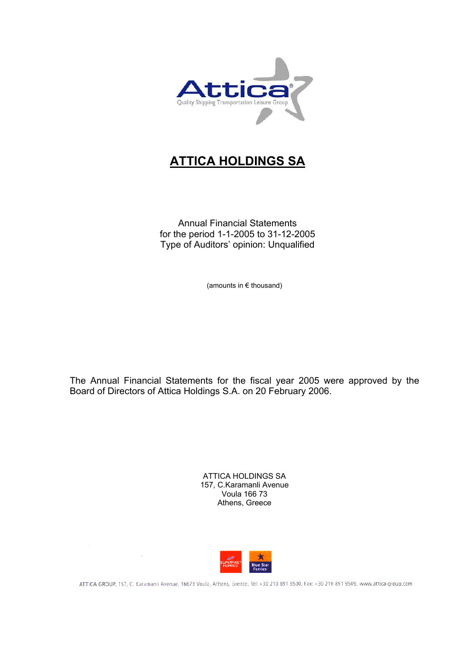

# **ATTICA HOLDINGS SA**

Annual Financial Statements for the period 1-1-2005 to 31-12-2005 Type of Auditors' opinion: Unqualified

(amounts in € thousand)

The Annual Financial Statements for the fiscal year 2005 were approved by the Board of Directors of Attica Holdings S.A. on 20 February 2006.

> ATTICA HOLDINGS SA 157, C.Karamanli Avenue Voula 166 73 Athens, Greece



ATTICA GROUP, 157, C. Karamanlı Avenue, 16673 Voula, Athens, Greece, Tel: +30 210 891 9500, Fax: +30 210 891 9509, www.attica-group.com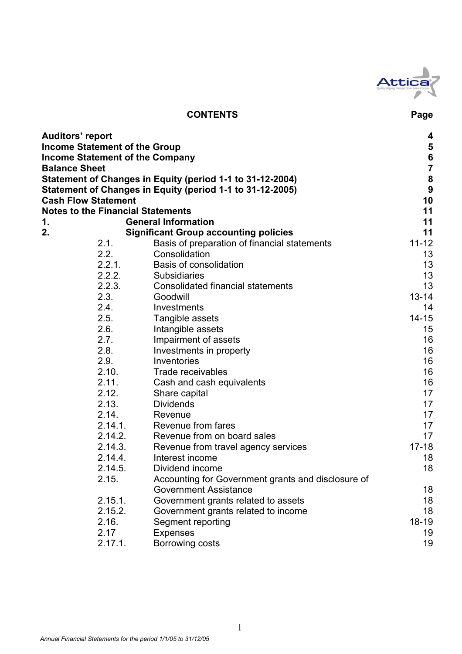

# **CONTENTS Page**

| <b>Auditors' report</b> |                                          |                                                           | 4                                          |
|-------------------------|------------------------------------------|-----------------------------------------------------------|--------------------------------------------|
|                         | <b>Income Statement of the Group</b>     |                                                           |                                            |
|                         | <b>Income Statement of the Company</b>   |                                                           | $\begin{array}{c} 5 \\ 6 \\ 7 \end{array}$ |
| <b>Balance Sheet</b>    |                                          |                                                           |                                            |
|                         |                                          | Statement of Changes in Equity (period 1-1 to 31-12-2004) | $\begin{array}{c} 8 \\ 9 \end{array}$      |
|                         |                                          | Statement of Changes in Equity (period 1-1 to 31-12-2005) |                                            |
|                         | <b>Cash Flow Statement</b>               |                                                           | 10                                         |
|                         | <b>Notes to the Financial Statements</b> |                                                           | 11                                         |
| 1.                      |                                          | <b>General Information</b>                                | 11                                         |
| 2.                      |                                          | <b>Significant Group accounting policies</b>              | 11                                         |
|                         | 2.1.                                     | Basis of preparation of financial statements              | $11 - 12$                                  |
|                         | 2.2.                                     | Consolidation                                             | 13                                         |
|                         | 2.2.1.                                   | <b>Basis of consolidation</b>                             | 13                                         |
|                         | 2.2.2.                                   | <b>Subsidiaries</b>                                       | 13                                         |
|                         | 2.2.3.                                   | <b>Consolidated financial statements</b>                  | 13                                         |
|                         | 2.3.                                     | Goodwill                                                  | $13 - 14$                                  |
|                         | 2.4.                                     | Investments                                               | 14                                         |
|                         | 2.5.                                     | Tangible assets                                           | $14 - 15$                                  |
|                         | 2.6.                                     | Intangible assets                                         | 15                                         |
|                         | 2.7.                                     | Impairment of assets                                      | 16                                         |
|                         | 2.8.                                     | Investments in property                                   | 16                                         |
|                         | 2.9.                                     | Inventories                                               | 16                                         |
|                         | 2.10.                                    | Trade receivables                                         | 16                                         |
|                         | 2.11.                                    | Cash and cash equivalents                                 | 16                                         |
|                         | 2.12.                                    | Share capital                                             | 17                                         |
|                         | 2.13.                                    | <b>Dividends</b>                                          | 17                                         |
|                         | 2.14.                                    | Revenue                                                   | 17                                         |
|                         | 2.14.1.                                  | Revenue from fares                                        | 17                                         |
|                         | 2.14.2.                                  | Revenue from on board sales                               | 17                                         |
|                         | 2.14.3.                                  | Revenue from travel agency services                       | $17 - 18$                                  |
|                         | 2.14.4.                                  | Interest income                                           | 18                                         |
|                         | 2.14.5.                                  | Dividend income                                           | 18                                         |
|                         | 2.15                                     | Accounting for Government grants and disclosure of        |                                            |
|                         |                                          | <b>Government Assistance</b>                              | 18                                         |
|                         | 2.15.1.                                  | Government grants related to assets                       | 18                                         |
|                         | 2.15.2.                                  | Government grants related to income                       | 18                                         |
|                         | 2.16.                                    | Segment reporting                                         | 18-19                                      |
|                         | 2.17                                     | <b>Expenses</b>                                           | 19                                         |
|                         | 2.17.1.                                  | Borrowing costs                                           | 19                                         |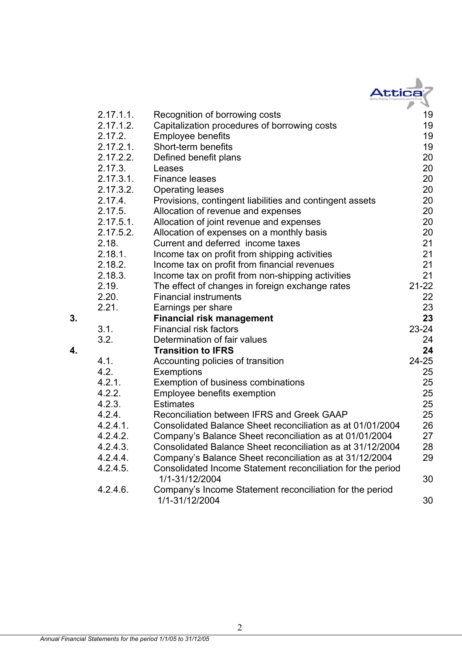|    |              | Attica                                                                     |           |
|----|--------------|----------------------------------------------------------------------------|-----------|
|    | 2.17.1.1.    | Recognition of borrowing costs                                             | 19        |
|    | 2.17.1.2.    | Capitalization procedures of borrowing costs                               | 19        |
|    | 2.17.2.      | <b>Employee benefits</b>                                                   | 19        |
|    | 2.17.2.1.    | Short-term benefits                                                        | 19        |
|    | 2.17.2.2.    | Defined benefit plans                                                      | 20        |
|    | 2.17.3.      | Leases                                                                     | 20        |
|    | 2.17.3.1.    | <b>Finance leases</b>                                                      | 20        |
|    | 2.17.3.2.    | <b>Operating leases</b>                                                    | 20        |
|    | 2.17.4.      | Provisions, contingent liabilities and contingent assets                   | 20        |
|    | 2.17.5.      | Allocation of revenue and expenses                                         | 20        |
|    | $2.17.5.1$ . | Allocation of joint revenue and expenses                                   | 20        |
|    | 2.17.5.2.    | Allocation of expenses on a monthly basis                                  | 20        |
|    | 2.18.        | Current and deferred income taxes                                          | 21        |
|    | 2.18.1.      | Income tax on profit from shipping activities                              | 21        |
|    | 2.18.2.      | Income tax on profit from financial revenues                               | 21        |
|    | 2.18.3.      | Income tax on profit from non-shipping activities                          | 21        |
|    | 2.19.        | The effect of changes in foreign exchange rates                            | $21 - 22$ |
|    | 2.20.        | <b>Financial instruments</b>                                               | 22        |
|    | 2.21.        | Earnings per share                                                         | 23        |
| 3. |              | <b>Financial risk management</b>                                           | 23        |
|    | 3.1.         | <b>Financial risk factors</b>                                              | $23 - 24$ |
|    | 3.2.         | Determination of fair values                                               | 24        |
| 4. |              | <b>Transition to IFRS</b>                                                  | 24        |
|    | 4.1.         | Accounting policies of transition                                          | $24 - 25$ |
|    | 4.2.         | Exemptions                                                                 | 25        |
|    | 4.2.1.       | Exemption of business combinations                                         | 25        |
|    | 4.2.2.       | Employee benefits exemption                                                | 25        |
|    | 4.2.3.       | <b>Estimates</b>                                                           | 25        |
|    | 4.2.4.       | Reconciliation between IFRS and Greek GAAP                                 | 25        |
|    | $4.2.4.1$ .  | Consolidated Balance Sheet reconciliation as at 01/01/2004                 | 26        |
|    | 4.2.4.2.     | Company's Balance Sheet reconciliation as at 01/01/2004                    | 27        |
|    | 4.2.4.3.     | Consolidated Balance Sheet reconciliation as at 31/12/2004                 | 28        |
|    | 4.2.4.4.     | Company's Balance Sheet reconciliation as at 31/12/2004                    | 29        |
|    | 4.2.4.5.     | Consolidated Income Statement reconciliation for the period                |           |
|    |              | 1/1-31/12/2004                                                             | 30        |
|    | 4.2.4.6.     | Company's Income Statement reconciliation for the period<br>1/1-31/12/2004 | 30        |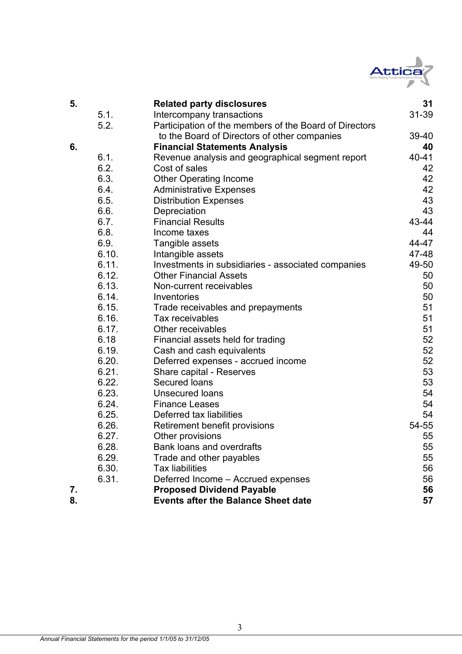

| 5. |       | <b>Related party disclosures</b>                       | 31        |
|----|-------|--------------------------------------------------------|-----------|
|    | 5.1.  | Intercompany transactions                              | 31-39     |
|    | 5.2.  | Participation of the members of the Board of Directors |           |
|    |       | to the Board of Directors of other companies           | 39-40     |
| 6. |       | <b>Financial Statements Analysis</b>                   | 40        |
|    | 6.1.  | Revenue analysis and geographical segment report       | $40 - 41$ |
|    | 6.2.  | Cost of sales                                          | 42        |
|    | 6.3.  | <b>Other Operating Income</b>                          | 42        |
|    | 6.4.  | <b>Administrative Expenses</b>                         | 42        |
|    | 6.5.  | <b>Distribution Expenses</b>                           | 43        |
|    | 6.6.  | Depreciation                                           | 43        |
|    | 6.7.  | <b>Financial Results</b>                               | 43-44     |
|    | 6.8.  | Income taxes                                           | 44        |
|    | 6.9.  | Tangible assets                                        | 44-47     |
|    | 6.10. | Intangible assets                                      | 47-48     |
|    | 6.11. | Investments in subsidiaries - associated companies     | 49-50     |
|    | 6.12. | <b>Other Financial Assets</b>                          | 50        |
|    | 6.13. | Non-current receivables                                | 50        |
|    | 6.14. | Inventories                                            | 50        |
|    | 6.15. | Trade receivables and prepayments                      | 51        |
|    | 6.16. | Tax receivables                                        | 51        |
|    | 6.17. | Other receivables                                      | 51        |
|    | 6.18  | Financial assets held for trading                      | 52        |
|    | 6.19. | Cash and cash equivalents                              | 52        |
|    | 6.20. | Deferred expenses - accrued income                     | 52        |
|    | 6.21. | Share capital - Reserves                               | 53        |
|    | 6.22. | Secured loans                                          | 53        |
|    | 6.23. | <b>Unsecured loans</b>                                 | 54        |
|    | 6.24. | <b>Finance Leases</b>                                  | 54        |
|    | 6.25. | Deferred tax liabilities                               | 54        |
|    | 6.26. | Retirement benefit provisions                          | 54-55     |
|    | 6.27. | Other provisions                                       | 55        |
|    | 6.28. | Bank loans and overdrafts                              | 55        |
|    | 6.29. | Trade and other payables                               | 55        |
|    | 6.30. | <b>Tax liabilities</b>                                 | 56        |
|    | 6.31. | Deferred Income - Accrued expenses                     | 56        |
| 7. |       | <b>Proposed Dividend Payable</b>                       | 56        |
| 8. |       | <b>Events after the Balance Sheet date</b>             | 57        |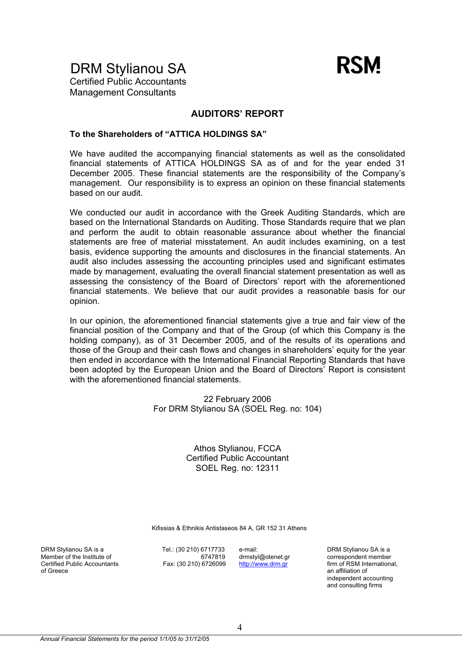

DRM Stylianou SA Certified Public Accountants

Management Consultants

### **AUDITORS' REPORT**

### **To the Shareholders of "ATTICA HOLDINGS SA"**

We have audited the accompanying financial statements as well as the consolidated financial statements of ATTICA HOLDINGS SA as of and for the year ended 31 December 2005. These financial statements are the responsibility of the Company's management. Our responsibility is to express an opinion on these financial statements based on our audit.

We conducted our audit in accordance with the Greek Auditing Standards, which are based on the International Standards on Auditing. Those Standards require that we plan and perform the audit to obtain reasonable assurance about whether the financial statements are free of material misstatement. An audit includes examining, on a test basis, evidence supporting the amounts and disclosures in the financial statements. An audit also includes assessing the accounting principles used and significant estimates made by management, evaluating the overall financial statement presentation as well as assessing the consistency of the Board of Directors' report with the aforementioned financial statements. We believe that our audit provides a reasonable basis for our opinion.

In our opinion, the aforementioned financial statements give a true and fair view of the financial position of the Company and that of the Group (of which this Company is the holding company), as of 31 December 2005, and of the results of its operations and those of the Group and their cash flows and changes in shareholders' equity for the year then ended in accordance with the International Financial Reporting Standards that have been adopted by the European Union and the Board of Directors' Report is consistent with the aforementioned financial statements.

> 22 February 2006 For DRM Stylianou SA (SOEL Reg. no: 104)

> > Athos Stylianou, FCCA Certified Public Accountant SOEL Reg. no: 12311

Kifissias & Ethnikis Antistaseos 84 A, GR 152 31 Athens

DRM Stylianou SA is a Member of the Institute of Certified Public Accountants of Greece

Tel.: (30 210) 6717733 6747819 Fax: (30 210) 6726099 e-mail: drmstyl@otenet.gr http://www.drm.gr

DRM Stylianou SA is a correspondent member firm of RSM International, an affiliation of independent accounting and consulting firms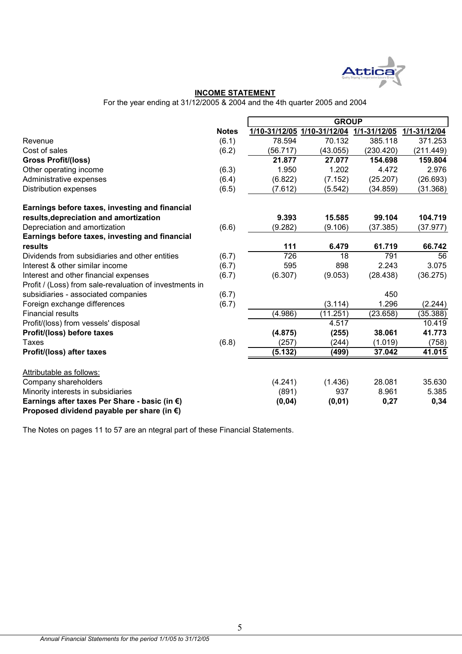

### **INCOME STATEMENT**

For the year ending at 31/12/2005 & 2004 and the 4th quarter 2005 and 2004

|                                                         |              | <b>GROUP</b> |                             |              |              |  |
|---------------------------------------------------------|--------------|--------------|-----------------------------|--------------|--------------|--|
|                                                         | <b>Notes</b> |              | 1/10-31/12/05 1/10-31/12/04 | 1/1-31/12/05 | 1/1-31/12/04 |  |
| Revenue                                                 | (6.1)        | 78.594       | 70.132                      | 385.118      | 371.253      |  |
| Cost of sales                                           | (6.2)        | (56.717)     | (43.055)                    | (230.420)    | (211.449)    |  |
| <b>Gross Profit/(loss)</b>                              |              | 21.877       | 27.077                      | 154.698      | 159.804      |  |
| Other operating income                                  | (6.3)        | 1.950        | 1.202                       | 4.472        | 2.976        |  |
| Administrative expenses                                 | (6.4)        | (6.822)      | (7.152)                     | (25.207)     | (26.693)     |  |
| <b>Distribution expenses</b>                            | (6.5)        | (7.612)      | (5.542)                     | (34.859)     | (31.368)     |  |
| Earnings before taxes, investing and financial          |              |              |                             |              |              |  |
| results, depreciation and amortization                  |              | 9.393        | 15.585                      | 99.104       | 104.719      |  |
| Depreciation and amortization                           | (6.6)        | (9.282)      | (9.106)                     | (37.385)     | (37.977)     |  |
| Earnings before taxes, investing and financial          |              |              |                             |              |              |  |
| results                                                 |              | 111          | 6.479                       | 61.719       | 66.742       |  |
| Dividends from subsidiaries and other entities          | (6.7)        | 726          | 18                          | 791          | 56           |  |
| Interest & other similar income                         | (6.7)        | 595          | 898                         | 2.243        | 3.075        |  |
| Interest and other financial expenses                   | (6.7)        | (6.307)      | (9.053)                     | (28.438)     | (36.275)     |  |
| Profit / (Loss) from sale-revaluation of investments in |              |              |                             |              |              |  |
| subsidiaries - associated companies                     | (6.7)        |              |                             | 450          |              |  |
| Foreign exchange differences                            | (6.7)        |              | (3.114)                     | 1.296        | (2.244)      |  |
| <b>Financial results</b>                                |              | (4.986)      | (11.251)                    | (23.658)     | (35.388)     |  |
| Profit/(loss) from vessels' disposal                    |              |              | 4.517                       |              | 10.419       |  |
| Profit/(loss) before taxes                              |              | (4.875)      | (255)                       | 38.061       | 41.773       |  |
| <b>Taxes</b>                                            | (6.8)        | (257)        | (244)                       | (1.019)      | (758)        |  |
| Profit/(loss) after taxes                               |              | (5.132)      | (499)                       | 37.042       | 41.015       |  |
| Attributable as follows:                                |              |              |                             |              |              |  |
| Company shareholders                                    |              | (4.241)      | (1.436)                     | 28.081       | 35.630       |  |
| Minority interests in subsidiaries                      |              | (891)        | 937                         | 8.961        | 5.385        |  |
| Earnings after taxes Per Share - basic (in €)           |              | (0, 04)      | (0, 01)                     | 0,27         | 0,34         |  |
| Proposed dividend payable per share (in €)              |              |              |                             |              |              |  |

The Notes on pages 11 to 57 are an ntegral part of these Financial Statements.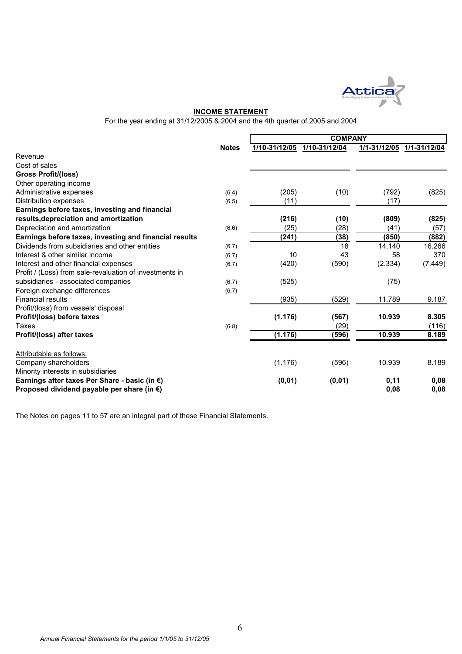

#### **INCOME STATEMENT**

For the year ending at 31/12/2005 & 2004 and the 4th quarter of 2005 and 2004

|                                                                                                       |              | <b>COMPANY</b> |               |              |              |
|-------------------------------------------------------------------------------------------------------|--------------|----------------|---------------|--------------|--------------|
|                                                                                                       | <b>Notes</b> | 1/10-31/12/05  | 1/10-31/12/04 | 1/1-31/12/05 | 1/1-31/12/04 |
| Revenue                                                                                               |              |                |               |              |              |
| Cost of sales                                                                                         |              |                |               |              |              |
| <b>Gross Profit/(loss)</b>                                                                            |              |                |               |              |              |
| Other operating income                                                                                |              |                |               |              |              |
| Administrative expenses                                                                               | (6.4)        | (205)          | (10)          | (792)        | (825)        |
| Distribution expenses                                                                                 | (6.5)        | (11)           |               | (17)         |              |
| Earnings before taxes, investing and financial                                                        |              |                |               |              |              |
| results, depreciation and amortization                                                                |              | (216)          | (10)          | (809)        | (825)        |
| Depreciation and amortization                                                                         | (6.6)        | (25)           | (28)          | (41)         | (57)         |
| Earnings before taxes, investing and financial results                                                |              | (241)          | (38)          | (850)        | (882)        |
| Dividends from subsidiaries and other entities                                                        | (6.7)        |                | 18            | 14.140       | 16.266       |
| Interest & other similar income                                                                       | (6.7)        | 10             | 43            | 58           | 370          |
| Interest and other financial expenses                                                                 | (6.7)        | (420)          | (590)         | (2.334)      | (7.449)      |
| Profit / (Loss) from sale-revaluation of investments in                                               |              |                |               |              |              |
| subsidiaries - associated companies                                                                   | (6.7)        | (525)          |               | (75)         |              |
| Foreign exchange differences                                                                          | (6.7)        |                |               |              |              |
| <b>Financial results</b>                                                                              |              | (935)          | (529)         | 11.789       | 9.187        |
| Profit/(loss) from vessels' disposal                                                                  |              |                |               |              |              |
| Profit/(loss) before taxes                                                                            |              | (1.176)        | (567)         | 10.939       | 8.305        |
| Taxes                                                                                                 | (6.8)        |                | (29)          |              | (116)        |
| Profit/(loss) after taxes                                                                             |              | (1.176)        | (596)         | 10.939       | 8.189        |
| Attributable as follows:                                                                              |              |                |               |              |              |
| Company shareholders                                                                                  |              | (1.176)        | (596)         | 10.939       | 8.189        |
| Minority interests in subsidiaries                                                                    |              |                |               |              |              |
| Earnings after taxes Per Share - basic (in €)<br>Proposed dividend payable per share (in $\epsilon$ ) |              | (0, 01)        | (0, 01)       | 0,11<br>0,08 | 0,08<br>0,08 |

The Notes on pages 11 to 57 are an integral part of these Financial Statements.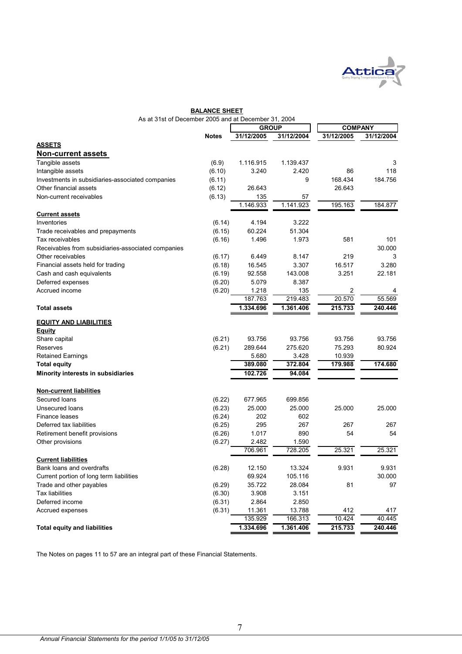

|                                                      | <b>BALANCE SHEET</b> |              |            |                              |            |
|------------------------------------------------------|----------------------|--------------|------------|------------------------------|------------|
| As at 31st of December 2005 and at December 31, 2004 |                      |              |            |                              |            |
|                                                      |                      | <b>GROUP</b> |            | <b>COMPANY</b><br>31/12/2005 |            |
| <b>ASSETS</b>                                        | <b>Notes</b>         | 31/12/2005   | 31/12/2004 |                              | 31/12/2004 |
|                                                      |                      |              |            |                              |            |
| <b>Non-current assets</b>                            |                      |              |            |                              |            |
| Tangible assets                                      | (6.9)                | 1.116.915    | 1.139.437  |                              | 3          |
| Intangible assets                                    | (6.10)               | 3.240        | 2.420      | 86                           | 118        |
| Investments in subsidiaries-associated companies     | (6.11)               |              | 9          | 168.434                      | 184.756    |
| Other financial assets                               | (6.12)               | 26.643       |            | 26.643                       |            |
| Non-current receivables                              | (6.13)               | 135          | 57         |                              |            |
|                                                      |                      | 1.146.933    | 1.141.923  | 195.163                      | 184.877    |
| <b>Current assets</b>                                |                      |              |            |                              |            |
| Inventories                                          | (6.14)               | 4.194        | 3.222      |                              |            |
| Trade receivables and prepayments                    | (6.15)               | 60.224       | 51.304     |                              |            |
| Tax receivables                                      | (6.16)               | 1.496        | 1.973      | 581                          | 101        |
| Receivables from subsidiaries-associated companies   |                      |              |            |                              | 30.000     |
| Other receivables                                    | (6.17)               | 6.449        | 8.147      | 219                          | 3          |
| Financial assets held for trading                    | (6.18)               | 16.545       | 3.307      | 16.517                       | 3.280      |
| Cash and cash equivalents                            | (6.19)               | 92.558       | 143.008    | 3.251                        | 22.181     |
| Deferred expenses                                    | (6.20)               | 5.079        | 8.387      |                              |            |
| Accrued income                                       | (6.20)               | 1.218        | 135        | 2                            | 4          |
|                                                      |                      | 187.763      | 219.483    | 20.570                       | 55.569     |
| <b>Total assets</b>                                  |                      | 1.334.696    | 1.361.406  | 215.733                      | 240.446    |
| <b>EQUITY AND LIABILITIES</b>                        |                      |              |            |                              |            |
| Equity                                               |                      |              |            |                              |            |
| Share capital                                        | (6.21)               | 93.756       | 93.756     | 93.756                       | 93.756     |
| Reserves                                             | (6.21)               | 289.644      | 275.620    | 75.293                       | 80.924     |
| <b>Retained Earnings</b>                             |                      | 5.680        | 3.428      | 10.939                       |            |
| <b>Total equity</b>                                  |                      | 389.080      | 372.804    | 179.988                      | 174.680    |
| Minority interests in subsidiaries                   |                      | 102.726      | 94.084     |                              |            |
|                                                      |                      |              |            |                              |            |
| <b>Non-current liabilities</b>                       |                      |              |            |                              |            |
| Secured Ioans                                        | (6.22)               | 677.965      | 699.856    |                              |            |
| Unsecured loans                                      | (6.23)               | 25.000       | 25.000     | 25.000                       | 25.000     |
| <b>Finance leases</b>                                | (6.24)               | 202          | 602        |                              |            |
| Deferred tax liabilities                             | (6.25)               | 295          | 267        | 267                          | 267        |
| Retirement benefit provisions                        | (6.26)               | 1.017        | 890        | 54                           | 54         |
| Other provisions                                     | (6.27)               | 2.482        | 1.590      |                              |            |
|                                                      |                      | 706.961      | 728.205    | 25.321                       | 25.321     |
| <b>Current liabilities</b>                           |                      |              |            |                              |            |
| Bank loans and overdrafts                            | (6.28)               | 12.150       | 13.324     | 9.931                        | 9.931      |
| Current portion of long term liabilities             |                      | 69.924       | 105.116    |                              | 30.000     |
| Trade and other payables                             | (6.29)               | 35.722       | 28.084     | 81                           | 97         |
| <b>Tax liabilities</b>                               | (6.30)               | 3.908        | 3.151      |                              |            |
| Deferred income                                      | (6.31)               | 2.864        | 2.850      |                              |            |
| Accrued expenses                                     | (6.31)               | 11.361       | 13.788     | 412                          | 417        |
|                                                      |                      | 135.929      | 166.313    | 10.424                       | 40.445     |
| <b>Total equity and liabilities</b>                  |                      | 1.334.696    | 1.361.406  | 215.733                      | 240.446    |

The Notes on pages 11 to 57 are an integral part of these Financial Statements.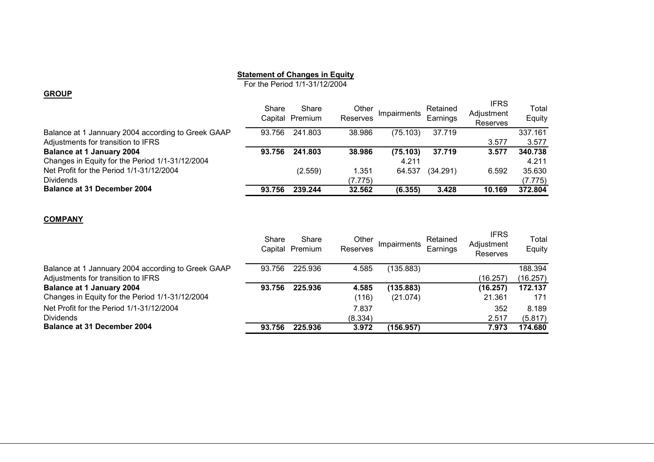### **Statement of Changes in Equity**

For the Period 1/1-31/12/2004

#### **GROUP**

|                                                    | Share  | Share<br>Capital Premium | Other<br>Reserves | Impairments | Retained<br>Earnings | <b>IFRS</b><br>Adjustment<br>Reserves | Total<br>Equity |
|----------------------------------------------------|--------|--------------------------|-------------------|-------------|----------------------|---------------------------------------|-----------------|
| Balance at 1 Jannuary 2004 according to Greek GAAP | 93.756 | 241.803                  | 38.986            | (75.103)    | 37.719               |                                       | 337.161         |
| Adjustments for transition to IFRS                 |        |                          |                   |             |                      | 3.577                                 | 3.577           |
| <b>Balance at 1 January 2004</b>                   | 93.756 | 241.803                  | 38.986            | (75.103)    | 37.719               | 3.577                                 | 340.738         |
| Changes in Equity for the Period 1/1-31/12/2004    |        |                          |                   | 4.211       |                      |                                       | 4.211           |
| Net Profit for the Period 1/1-31/12/2004           |        | (2.559)                  | 1.351             | 64.537      | (34.291)             | 6.592                                 | 35.630          |
| <b>Dividends</b>                                   |        |                          | (7.775)           |             |                      |                                       | (7.775)         |
| <b>Balance at 31 December 2004</b>                 | 93.756 | 239.244                  | 32.562            | (6.355)     | 3.428                | 10.169                                | 372.804         |

#### **COMPANY**

|                                                    | Share  | Share<br>Capital Premium | Other<br>Reserves | Impairments | Retained<br>Earnings | <b>IFRS</b><br>Adjustment<br>Reserves | Total<br>Equity |
|----------------------------------------------------|--------|--------------------------|-------------------|-------------|----------------------|---------------------------------------|-----------------|
| Balance at 1 Jannuary 2004 according to Greek GAAP | 93.756 | 225.936                  | 4.585             | (135.883)   |                      |                                       | 188.394         |
| Adjustments for transition to IFRS                 |        |                          |                   |             |                      | (16.257)                              | (16.257)        |
| <b>Balance at 1 January 2004</b>                   | 93.756 | 225.936                  | 4.585             | (135.883)   |                      | (16.257)                              | 172.137         |
| Changes in Equity for the Period 1/1-31/12/2004    |        |                          | (116)             | (21.074)    |                      | 21.361                                | 171             |
| Net Profit for the Period 1/1-31/12/2004           |        |                          | 7.837             |             |                      | 352                                   | 8.189           |
| <b>Dividends</b>                                   |        |                          | (8.334)           |             |                      | 2.517                                 | (5.817)         |
| <b>Balance at 31 December 2004</b>                 | 93.756 | 225.936                  | 3.972             | (156.957)   |                      | 7.973                                 | 174.680         |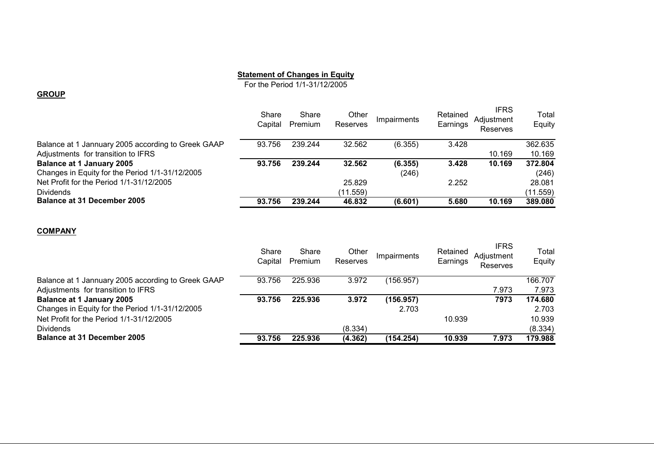### **Statement of Changes in Equity**

For the Period 1/1-31/12/2005

#### **GROUP**

|                                                    | Share<br>Capital | Share<br>Premium | Other<br>Reserves | <b>Impairments</b> | Retained<br>Earnings | <b>IFRS</b><br>Adiustment<br>Reserves | Total<br>Equity |
|----------------------------------------------------|------------------|------------------|-------------------|--------------------|----------------------|---------------------------------------|-----------------|
| Balance at 1 Jannuary 2005 according to Greek GAAP | 93.756           | 239.244          | 32.562            | (6.355)            | 3.428                |                                       | 362.635         |
| Adjustments for transition to IFRS                 |                  |                  |                   |                    |                      | 10.169                                | 10.169          |
| <b>Balance at 1 January 2005</b>                   | 93.756           | 239.244          | 32.562            | (6.355)            | 3.428                | 10.169                                | 372.804         |
| Changes in Equity for the Period 1/1-31/12/2005    |                  |                  |                   | (246)              |                      |                                       | (246)           |
| Net Profit for the Period 1/1-31/12/2005           |                  |                  | 25.829            |                    | 2.252                |                                       | 28.081          |
| <b>Dividends</b>                                   |                  |                  | (11.559)          |                    |                      |                                       | (11.559)        |
| <b>Balance at 31 December 2005</b>                 | 93.756           | 239.244          | 46.832            | (6.601)            | 5.680                | 10.169                                | 389.080         |

#### **COMPANY**

|                                                    | Share<br>Capital | Share<br>Premium | Other<br>Reserves | <b>Impairments</b> | Retained<br>Earnings | <b>IFRS</b><br>Adjustment<br>Reserves | Total<br>Equity |
|----------------------------------------------------|------------------|------------------|-------------------|--------------------|----------------------|---------------------------------------|-----------------|
| Balance at 1 Jannuary 2005 according to Greek GAAP | 93.756           | 225.936          | 3.972             | (156.957)          |                      |                                       | 166.707         |
| Adjustments for transition to IFRS                 |                  |                  |                   |                    |                      | 7.973                                 | 7.973           |
| <b>Balance at 1 January 2005</b>                   | 93.756           | 225.936          | 3.972             | (156.957)          |                      | 7973                                  | 174.680         |
| Changes in Equity for the Period 1/1-31/12/2005    |                  |                  |                   | 2.703              |                      |                                       | 2.703           |
| Net Profit for the Period 1/1-31/12/2005           |                  |                  |                   |                    | 10.939               |                                       | 10.939          |
| <b>Dividends</b>                                   |                  |                  | (8.334)           |                    |                      |                                       | (8.334)         |
| <b>Balance at 31 December 2005</b>                 | 93.756           | 225,936          | (4.362)           | (154.254)          | 10.939               | 7.973                                 | 179.988         |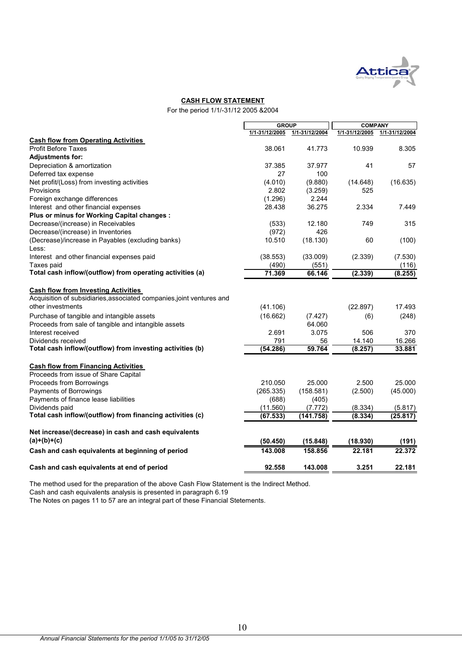

### **CASH FLOW STATEMENT**

For the period 1/1/-31/12 2005 &2004

|                                                                       |                | <b>GROUP</b>   |                | <b>COMPANY</b> |
|-----------------------------------------------------------------------|----------------|----------------|----------------|----------------|
|                                                                       | 1/1-31/12/2005 | 1/1-31/12/2004 | 1/1-31/12/2005 | 1/1-31/12/2004 |
| <b>Cash flow from Operating Activities</b>                            |                |                |                |                |
| <b>Profit Before Taxes</b>                                            | 38.061         | 41.773         | 10.939         | 8.305          |
| <b>Adjustments for:</b>                                               |                |                |                |                |
| Depreciation & amortization                                           | 37.385         | 37.977         | 41             | 57             |
| Deferred tax expense                                                  | 27             | 100            |                |                |
| Net profit/(Loss) from investing activities                           | (4.010)        | (9.880)        | (14.648)       | (16.635)       |
| Provisions                                                            | 2.802          | (3.259)        | 525            |                |
| Foreign exchange differences                                          | (1.296)        | 2.244          |                |                |
| Interest and other financial expenses                                 | 28.438         | 36.275         | 2.334          | 7.449          |
| Plus or minus for Working Capital changes :                           |                |                |                |                |
| Decrease/(increase) in Receivables                                    | (533)          | 12.180         | 749            | 315            |
| Decrease/(increase) in Inventories                                    | (972)          | 426            |                |                |
| (Decrease)/increase in Payables (excluding banks)                     | 10.510         | (18.130)       | 60             | (100)          |
| Less:                                                                 |                |                |                |                |
| Interest and other financial expenses paid                            | (38.553)       | (33.009)       | (2.339)        | (7.530)        |
| Taxes paid                                                            | (490)          | (551)          |                | (116)          |
| Total cash inflow/(outflow) from operating activities (a)             | 71.369         | 66.146         | (2.339)        | (8.255)        |
| <b>Cash flow from Investing Activities</b>                            |                |                |                |                |
| Acquisition of subsidiaries, associated companies, joint ventures and |                |                |                |                |
| other investments                                                     | (41.106)       |                | (22.897)       | 17.493         |
| Purchase of tangible and intangible assets                            | (16.662)       | (7.427)        | (6)            | (248)          |
| Proceeds from sale of tangible and intangible assets                  |                | 64.060         |                |                |
| Interest received                                                     | 2.691          | 3.075          | 506            | 370            |
| Dividends received                                                    | 791            | 56             | 14.140         | 16.266         |
| Total cash inflow/(outflow) from investing activities (b)             | (54.286)       | 59.764         | (8.257)        | 33.881         |
| <b>Cash flow from Financing Activities</b>                            |                |                |                |                |
| Proceeds from issue of Share Capital                                  |                |                |                |                |
| Proceeds from Borrowings                                              | 210.050        | 25.000         | 2.500          | 25.000         |
| Payments of Borrowings                                                | (265.335)      | (158.581)      | (2.500)        | (45.000)       |
| Payments of finance lease liabilities                                 | (688)          | (405)          |                |                |
| Dividends paid                                                        | (11.560)       | (7.772)        | (8.334)        | (5.817)        |
| Total cash inflow/(outflow) from financing activities (c)             | (67.533)       | (141.758)      | (8.334)        | (25.817)       |
| Net increase/(decrease) in cash and cash equivalents                  |                |                |                |                |
| $(a)+(b)+(c)$                                                         | (50.450)       | (15.848)       | (18.930)       | (191)          |
| Cash and cash equivalents at beginning of period                      | 143.008        | 158.856        | 22.181         | 22.372         |
| Cash and cash equivalents at end of period                            | 92.558         | 143.008        | 3.251          | 22.181         |

The method used for the preparation of the above Cash Flow Statement is the Indirect Method.

Cash and cash equivalents analysis is presented in paragraph 6.19

The Notes on pages 11 to 57 are an integral part of these Financial Stetements.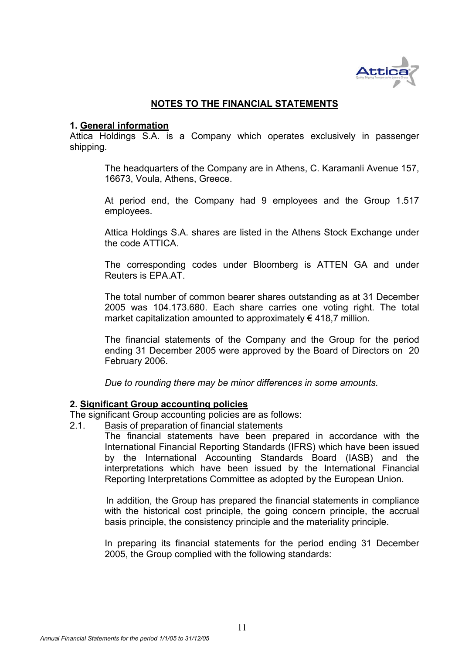

# **NOTES TO THE FINANCIAL STATEMENTS**

## **1. General information**

Attica Holdings S.A. is a Company which operates exclusively in passenger shipping.

The headquarters of the Company are in Athens, C. Karamanli Avenue 157, 16673, Voula, Athens, Greece.

At period end, the Company had 9 employees and the Group 1.517 employees.

Attica Holdings S.A. shares are listed in the Athens Stock Exchange under the code ATTICA.

The corresponding codes under Bloomberg is ATTEN GA and under Reuters is EPA.AT.

The total number of common bearer shares outstanding as at 31 December 2005 was 104.173.680. Each share carries one voting right. The total market capitalization amounted to approximately  $\epsilon$  418,7 million.

The financial statements of the Company and the Group for the period ending 31 December 2005 were approved by the Board of Directors on 20 February 2006.

*Due to rounding there may be minor differences in some amounts.* 

# **2. Significant Group accounting policies**

The significant Group accounting policies are as follows:

2.1. Basis of preparation of financial statements

The financial statements have been prepared in accordance with the International Financial Reporting Standards (IFRS) which have been issued by the International Accounting Standards Board (IASB) and the interpretations which have been issued by the International Financial Reporting Interpretations Committee as adopted by the European Union.

 In addition, the Group has prepared the financial statements in compliance with the historical cost principle, the going concern principle, the accrual basis principle, the consistency principle and the materiality principle.

In preparing its financial statements for the period ending 31 December 2005, the Group complied with the following standards: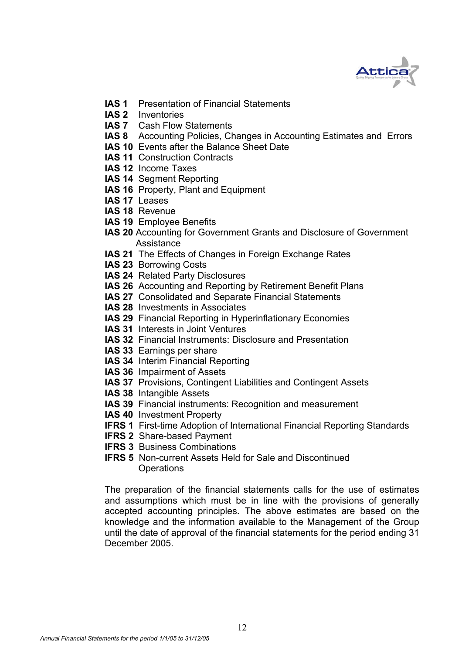

- **IAS 1** Presentation of Financial Statements
- **IAS 2** Inventories
- **IAS 7** Cash Flow Statements
- **IAS 8** Accounting Policies, Changes in Accounting Estimates and Errors
- **IAS 10** Events after the Balance Sheet Date
- **IAS 11 Construction Contracts**
- **IAS 12** Income Taxes
- **IAS 14** Segment Reporting
- **IAS 16** Property, Plant and Equipment
- **IAS 17** Leases
- **IAS 18** Revenue
- **IAS 19** Employee Benefits
- **IAS 20** Accounting for Government Grants and Disclosure of Government Assistance
- **IAS 21** The Effects of Changes in Foreign Exchange Rates
- **IAS 23** Borrowing Costs
- **IAS 24** Related Party Disclosures
- **IAS 26** Accounting and Reporting by Retirement Benefit Plans
- **IAS 27** Consolidated and Separate Financial Statements
- **IAS 28** Investments in Associates
- **IAS 29** Financial Reporting in Hyperinflationary Economies
- **IAS 31** Interests in Joint Ventures
- **IAS 32** Financial Instruments: Disclosure and Presentation
- **IAS 33** Earnings per share
- **IAS 34** Interim Financial Reporting
- **IAS 36** Impairment of Assets
- **IAS 37** Provisions, Contingent Liabilities and Contingent Assets
- **IAS 38** Intangible Assets
- **IAS 39** Financial instruments: Recognition and measurement
- **IAS 40** Investment Property
- **IFRS 1** First-time Adoption of International Financial Reporting Standards
- **IFRS 2** Share-based Payment
- **IFRS 3 Business Combinations**
- **IFRS 5** Non-current Assets Held for Sale and Discontinued Operations

The preparation of the financial statements calls for the use of estimates and assumptions which must be in line with the provisions of generally accepted accounting principles. The above estimates are based οn the knowledge and the information available to the Management of the Group until the date of approval of the financial statements for the period ending 31 December 2005.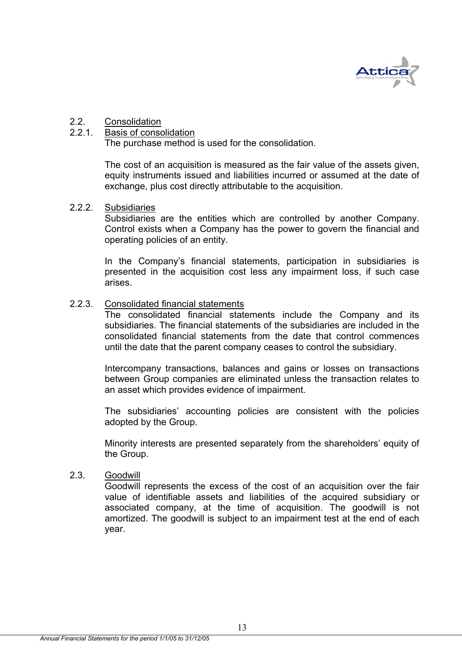

# 2.2. Consolidation

### 2.2.1. Basis of consolidation

The purchase method is used for the consolidation.

The cost of an acquisition is measured as the fair value of the assets given, equity instruments issued and liabilities incurred or assumed at the date of exchange, plus cost directly attributable to the acquisition.

### 2.2.2. Subsidiaries

Subsidiaries are the entities which are controlled by another Company. Control exists when a Company has the power to govern the financial and operating policies of an entity.

In the Company's financial statements, participation in subsidiaries is presented in the acquisition cost less any impairment loss, if such case arises.

### 2.2.3. Consolidated financial statements

The consolidated financial statements include the Company and its subsidiaries. The financial statements of the subsidiaries are included in the consolidated financial statements from the date that control commences until the date that the parent company ceases to control the subsidiary.

Intercompany transactions, balances and gains or losses on transactions between Group companies are eliminated unless the transaction relates to an asset which provides evidence of impairment.

The subsidiaries' accounting policies are consistent with the policies adopted by the Group.

Minority interests are presented separately from the shareholders' equity of the Group.

## 2.3. Goodwill

Goodwill represents the excess of the cost of an acquisition over the fair value of identifiable assets and liabilities of the acquired subsidiary or associated company, at the time of acquisition. The goodwill is not amortized. The goodwill is subject to an impairment test at the end of each year.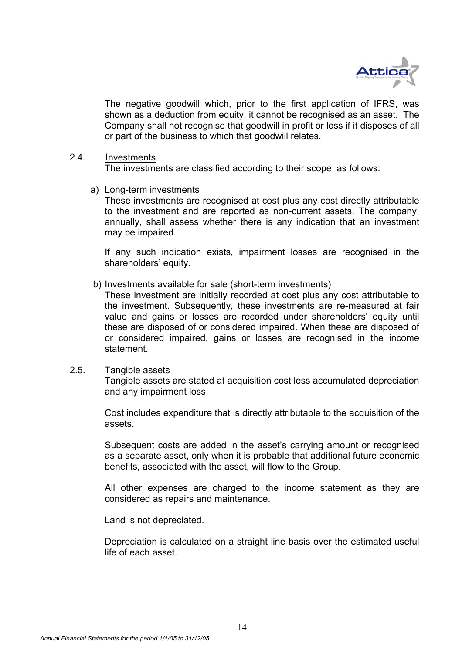

The negative goodwill which, prior to the first application of IFRS, was shown as a deduction from equity, it cannot be recognised as an asset. The Company shall not recognise that goodwill in profit or loss if it disposes of all or part of the business to which that goodwill relates.

### 2.4. Investments

The investments are classified according to their scope as follows:

a) Long-term investments

These investments are recognised at cost plus any cost directly attributable to the investment and are reported as non-current assets. The company, annually, shall assess whether there is any indication that an investment may be impaired.

If any such indication exists, impairment losses are recognised in the shareholders' equity.

b) Investments available for sale (short-term investments)

These investment are initially recorded at cost plus any cost attributable to the investment. Subsequently, these investments are re-measured at fair value and gains or losses are recorded under shareholders' equity until these are disposed of or considered impaired. When these are disposed of or considered impaired, gains or losses are recognised in the income statement.

## 2.5. Tangible assets

Tangible assets are stated at acquisition cost less accumulated depreciation and any impairment loss.

Cost includes expenditure that is directly attributable to the acquisition of the assets.

Subsequent costs are added in the asset's carrying amount or recognised as a separate asset, only when it is probable that additional future economic benefits, associated with the asset, will flow to the Group.

All other expenses are charged to the income statement as they are considered as repairs and maintenance.

Land is not depreciated.

Depreciation is calculated on a straight line basis over the estimated useful life of each asset.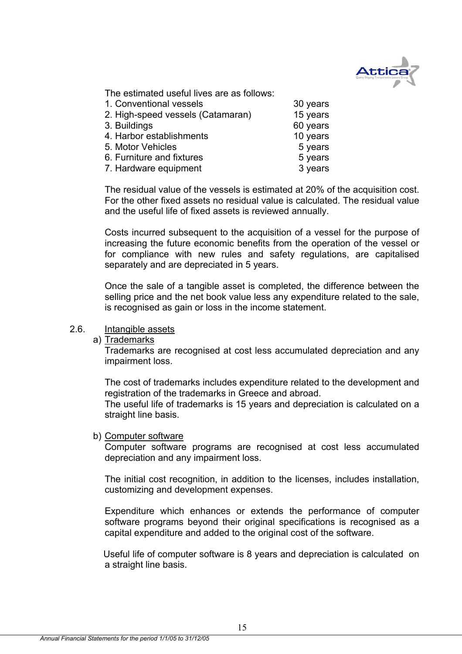

The estimated useful lives are as follows:

| 1. Conventional vessels           | 30 years |
|-----------------------------------|----------|
| 2. High-speed vessels (Catamaran) | 15 years |
| 3. Buildings                      | 60 years |
| 4. Harbor establishments          | 10 years |
| 5. Motor Vehicles                 | 5 years  |
| 6. Furniture and fixtures         | 5 years  |
| 7. Hardware equipment             | 3 years  |

The residual value of the vessels is estimated at 20% of the acquisition cost. For the other fixed assets no residual value is calculated. The residual value and the useful life of fixed assets is reviewed annually.

Costs incurred subsequent to the acquisition of a vessel for the purpose of increasing the future economic benefits from the operation of the vessel or for compliance with new rules and safety regulations, are capitalised separately and are depreciated in 5 years.

Once the sale of a tangible asset is completed, the difference between the selling price and the net book value less any expenditure related to the sale, is recognised as gain or loss in the income statement.

# 2.6. Intangible assets

a) Trademarks

 Trademarks are recognised at cost less accumulated depreciation and any impairment loss.

 The cost of trademarks includes expenditure related to the development and registration of the trademarks in Greece and abroad.

The useful life of trademarks is 15 years and depreciation is calculated on a straight line basis.

### b) Computer software

 Computer software programs are recognised at cost less accumulated depreciation and any impairment loss.

 The initial cost recognition, in addition to the licenses, includes installation, customizing and development expenses.

 Expenditure which enhances or extends the performance of computer software programs beyond their original specifications is recognised as a capital expenditure and added to the original cost of the software.

 Useful life of computer software is 8 years and depreciation is calculated on a straight line basis.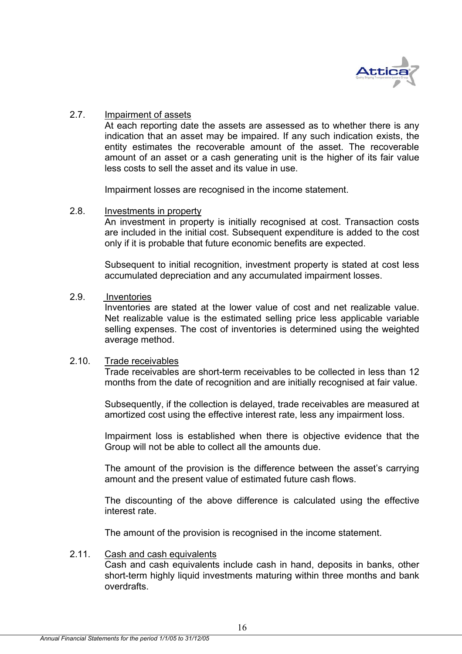

### 2.7. Impairment of assets

At each reporting date the assets are assessed as to whether there is any indication that an asset may be impaired. If any such indication exists, the entity estimates the recoverable amount of the asset. The recoverable amount of an asset or a cash generating unit is the higher of its fair value less costs to sell the asset and its value in use.

Impairment losses are recognised in the income statement.

### 2.8. Investments in property

An investment in property is initially recognised at cost. Transaction costs are included in the initial cost. Subsequent expenditure is added to the cost only if it is probable that future economic benefits are expected.

Subsequent to initial recognition, investment property is stated at cost less accumulated depreciation and any accumulated impairment losses.

# 2.9. Inventories

Inventories are stated at the lower value of cost and net realizable value. Net realizable value is the estimated selling price less applicable variable selling expenses. The cost of inventories is determined using the weighted average method.

### 2.10. Trade receivables

Trade receivables are short-term receivables to be collected in less than 12 months from the date of recognition and are initially recognised at fair value.

Subsequently, if the collection is delayed, trade receivables are measured at amortized cost using the effective interest rate, less any impairment loss.

Impairment loss is established when there is objective evidence that the Group will not be able to collect all the amounts due.

The amount of the provision is the difference between the asset's carrying amount and the present value of estimated future cash flows.

The discounting of the above difference is calculated using the effective interest rate.

The amount of the provision is recognised in the income statement.

### 2.11. Cash and cash equivalents

Cash and cash equivalents include cash in hand, deposits in banks, other short-term highly liquid investments maturing within three months and bank overdrafts.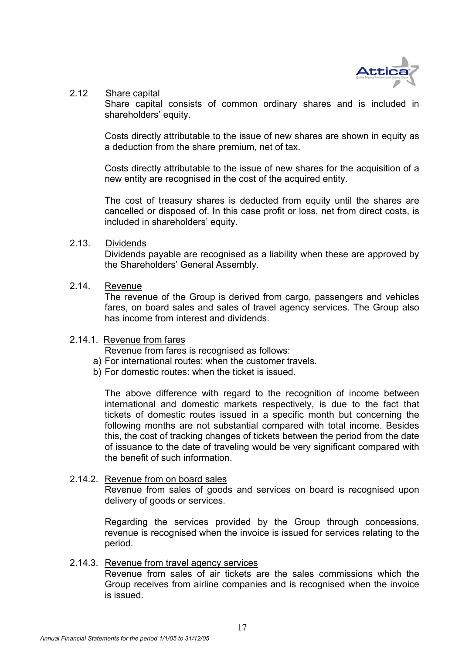

## 2.12 Share capital

Share capital consists of common ordinary shares and is included in shareholders' equity.

Costs directly attributable to the issue of new shares are shown in equity as a deduction from the share premium, net of tax.

Costs directly attributable to the issue of new shares for the acquisition of a new entity are recognised in the cost of the acquired entity.

The cost of treasury shares is deducted from equity until the shares are cancelled or disposed of. In this case profit or loss, net from direct costs, is included in shareholders' equity.

## 2.13. Dividends

Dividends payable are recognised as a liability when these are approved by the Shareholders' General Assembly.

# 2.14. Revenue

The revenue of the Group is derived from cargo, passengers and vehicles fares, on board sales and sales of travel agency services. The Group also has income from interest and dividends.

# 2.14.1. Revenue from fares

Revenue from fares is recognised as follows:

- a) For international routes: when the customer travels.
- b) For domestic routes: when the ticket is issued.

The above difference with regard to the recognition of income between international and domestic markets respectively, is due to the fact that tickets of domestic routes issued in a specific month but concerning the following months are not substantial compared with total income. Besides this, the cost of tracking changes of tickets between the period from the date of issuance to the date of traveling would be very significant compared with the benefit of such information.

# 2.14.2. Revenue from on board sales

Revenue from sales of goods and services on board is recognised upon delivery of goods or services.

Regarding the services provided by the Group through concessions, revenue is recognised when the invoice is issued for services relating to the period.

### 2.14.3. Revenue from travel agency services

Revenue from sales of air tickets are the sales commissions which the Group receives from airline companies and is recognised when the invoice is issued.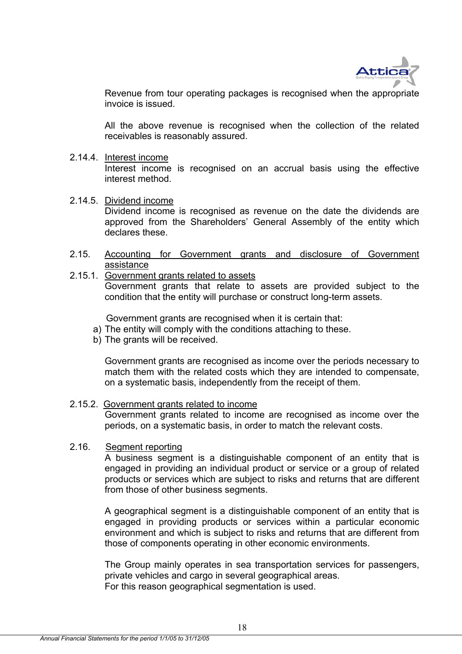

Revenue from tour operating packages is recognised when the appropriate invoice is issued.

All the above revenue is recognised when the collection of the related receivables is reasonably assured.

### 2.14.4. Interest income

Interest income is recognised on an accrual basis using the effective interest method.

2.14.5. Dividend income

Dividend income is recognised as revenue on the date the dividends are approved from the Shareholders' General Assembly of the entity which declares these.

2.15. Accounting for Government grants and disclosure of Government assistance

### 2.15.1. Government grants related to assets Government grants that relate to assets are provided subject to the condition that the entity will purchase or construct long-term assets.

Government grants are recognised when it is certain that:

- a) The entity will comply with the conditions attaching to these.
- b) The grants will be received.

Government grants are recognised as income over the periods necessary to match them with the related costs which they are intended to compensate, on a systematic basis, independently from the receipt of them.

### 2.15.2. Government grants related to income

Government grants related to income are recognised as income over the periods, on a systematic basis, in order to match the relevant costs.

### 2.16. Segment reporting

A business segment is a distinguishable component of an entity that is engaged in providing an individual product or service or a group of related products or services which are subject to risks and returns that are different from those of other business segments.

A geographical segment is a distinguishable component of an entity that is engaged in providing products or services within a particular economic environment and which is subject to risks and returns that are different from those of components operating in other economic environments.

The Group mainly operates in sea transportation services for passengers, private vehicles and cargo in several geographical areas. For this reason geographical segmentation is used.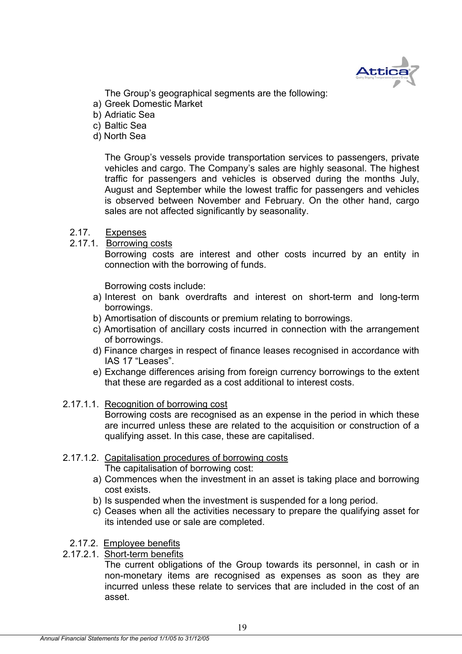

The Group's geographical segments are the following:

- a) Greek Domestic Market
- b) Adriatic Sea
- c) Baltic Sea
- d) North Sea

The Group's vessels provide transportation services to passengers, private vehicles and cargo. The Company's sales are highly seasonal. The highest traffic for passengers and vehicles is observed during the months July, August and September while the lowest traffic for passengers and vehicles is observed between November and February. On the other hand, cargo sales are not affected significantly by seasonality.

- 2.17. Expenses
- 2.17.1. Borrowing costs

 Borrowing costs are interest and other costs incurred by an entity in connection with the borrowing of funds.

Borrowing costs include:

- a) Interest on bank overdrafts and interest on short-term and long-term borrowings.
- b) Amortisation of discounts or premium relating to borrowings.
- c) Amortisation of ancillary costs incurred in connection with the arrangement of borrowings.
- d) Finance charges in respect of finance leases recognised in accordance with IAS 17 "Leases".
- e) Exchange differences arising from foreign currency borrowings to the extent that these are regarded as a cost additional to interest costs.
- 2.17.1.1. Recognition of borrowing cost

Borrowing costs are recognised as an expense in the period in which these are incurred unless these are related to the acquisition or construction of a qualifying asset. In this case, these are capitalised.

2.17.1.2. Capitalisation procedures of borrowing costs

The capitalisation of borrowing cost:

- a) Commences when the investment in an asset is taking place and borrowing cost exists.
- b) Is suspended when the investment is suspended for a long period.
- c) Ceases when all the activities necessary to prepare the qualifying asset for its intended use or sale are completed.
- 2.17.2. Employee benefits
- 2.17.2.1. Short-term benefits

 The current obligations of the Group towards its personnel, in cash or in non-monetary items are recognised as expenses as soon as they are incurred unless these relate to services that are included in the cost of an asset.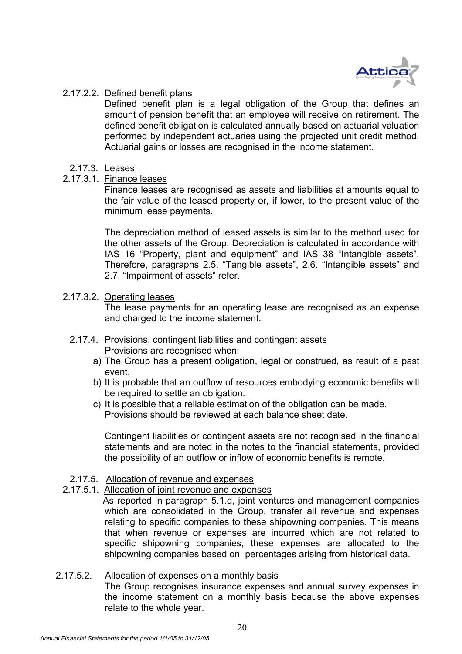

# 2.17.2.2. Defined benefit plans

 Defined benefit plan is a legal obligation of the Group that defines an amount of pension benefit that an employee will receive on retirement. The defined benefit obligation is calculated annually based on actuarial valuation performed by independent actuaries using the projected unit credit method. Actuarial gains or losses are recognised in the income statement.

- 2.17.3. Leases
- 2.17.3.1. Finance leases

Finance leases are recognised as assets and liabilities at amounts equal to the fair value of the leased property or, if lower, to the present value of the minimum lease payments.

The depreciation method of leased assets is similar to the method used for the other assets of the Group. Depreciation is calculated in accordance with IAS 16 "Property, plant and equipment" and IAS 38 "Intangible assets". Therefore, paragraphs 2.5. "Tangible assets", 2.6. "Intangible assets" and 2.7. "Impairment of assets" refer.

# 2.17.3.2. Operating leases

The lease payments for an operating lease are recognised as an expense and charged to the income statement.

- 2.17.4. Provisions, contingent liabilities and contingent assets Provisions are recognised when:
	- a) The Group has a present obligation, legal or construed, as result of a past event.
	- b) It is probable that an outflow of resources embodying economic benefits will be required to settle an obligation.
	- c) It is possible that a reliable estimation of the obligation can be made. Provisions should be reviewed at each balance sheet date.

 Contingent liabilities or contingent assets are not recognised in the financial statements and are noted in the notes to the financial statements, provided the possibility of an outflow or inflow of economic benefits is remote.

# 2.17.5. Allocation of revenue and expenses

- 2.17.5.1. Allocation of joint revenue and expenses
	- As reported in paragraph 5.1.d, joint ventures and management companies which are consolidated in the Group, transfer all revenue and expenses relating to specific companies to these shipowning companies. This means that when revenue or expenses are incurred which are not related to specific shipowning companies, these expenses are allocated to the shipowning companies based on percentages arising from historical data.

# 2.17.5.2. Allocation of expenses on a monthly basis

The Group recognises insurance expenses and annual survey expenses in the income statement on a monthly basis because the above expenses relate to the whole year.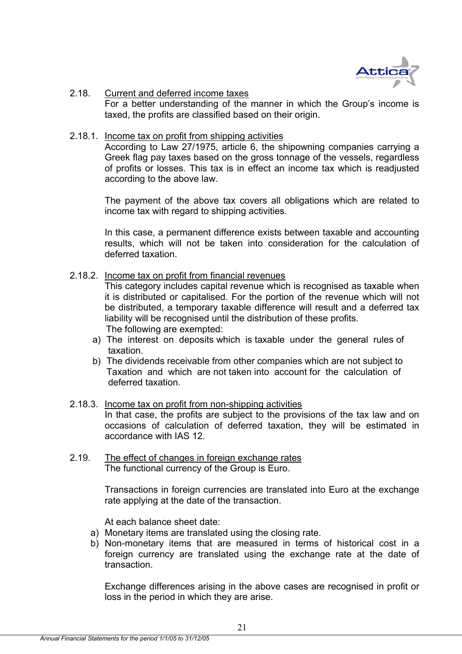

2.18. Current and deferred income taxes For a better understanding of the manner in which the Group's income is taxed, the profits are classified based on their origin.

### 2.18.1. Income tax on profit from shipping activities

According to Law 27/1975, article 6, the shipowning companies carrying a Greek flag pay taxes based on the gross tonnage of the vessels, regardless of profits or losses. This tax is in effect an income tax which is readjusted according to the above law.

The payment of the above tax covers all obligations which are related to income tax with regard to shipping activities.

In this case, a permanent difference exists between taxable and accounting results, which will not be taken into consideration for the calculation of deferred taxation.

2.18.2. Income tax on profit from financial revenues

This category includes capital revenue which is recognised as taxable when it is distributed or capitalised. For the portion of the revenue which will not be distributed, a temporary taxable difference will result and a deferred tax liability will be recognised until the distribution of these profits. The following are exempted:

- a) The interest on deposits which is taxable under the general rules of taxation.
- b) The dividends receivable from other companies which are not subject to Taxation and which are not taken into account for the calculation of deferred taxation.
- 2.18.3. Income tax on profit from non-shipping activities In that case, the profits are subject to the provisions of the tax law and on occasions of calculation of deferred taxation, they will be estimated in accordance with IAS 12.
- 2.19. The effect of changes in foreign exchange rates The functional currency of the Group is Euro.

Transactions in foreign currencies are translated into Euro at the exchange rate applying at the date of the transaction.

At each balance sheet date:

- a) Monetary items are translated using the closing rate.
- b) Non-monetary items that are measured in terms of historical cost in a foreign currency are translated using the exchange rate at the date of transaction.

Exchange differences arising in the above cases are recognised in profit or loss in the period in which they are arise.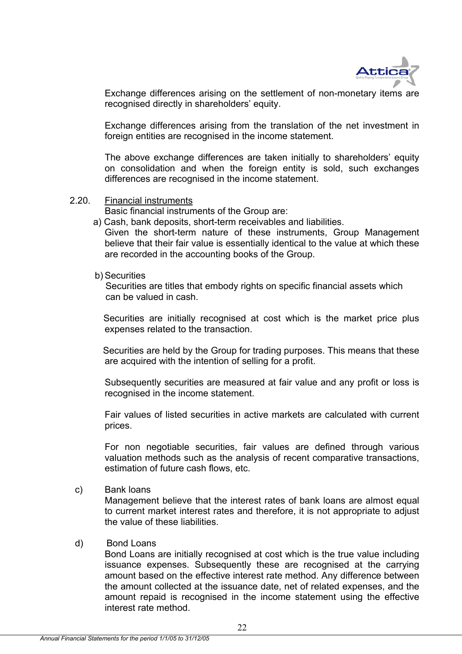

Exchange differences arising on the settlement of non-monetary items are recognised directly in shareholders' equity.

 Exchange differences arising from the translation of the net investment in foreign entities are recognised in the income statement.

The above exchange differences are taken initially to shareholders' equity on consolidation and when the foreign entity is sold, such exchanges differences are recognised in the income statement.

2.20. Financial instruments

Basic financial instruments of the Group are:

a) Cash, bank deposits, short-term receivables and liabilities.

 Given the short-term nature of these instruments, Group Management believe that their fair value is essentially identical to the value at which these are recorded in the accounting books of the Group.

b) Securities

 Securities are titles that embody rights on specific financial assets which can be valued in cash.

 Securities are initially recognised at cost which is the market price plus expenses related to the transaction.

 Securities are held by the Group for trading purposes. This means that these are acquired with the intention of selling for a profit.

Subsequently securities are measured at fair value and any profit or loss is recognised in the income statement.

 Fair values of listed securities in active markets are calculated with current prices.

For non negotiable securities, fair values are defined through various valuation methods such as the analysis of recent comparative transactions, estimation of future cash flows, etc.

c) Bank loans

 Management believe that the interest rates of bank loans are almost equal to current market interest rates and therefore, it is not appropriate to adjust the value of these liabilities.

### d) Bond Loans

 Bond Loans are initially recognised at cost which is the true value including issuance expenses. Subsequently these are recognised at the carrying amount based on the effective interest rate method. Any difference between the amount collected at the issuance date, net of related expenses, and the amount repaid is recognised in the income statement using the effective interest rate method.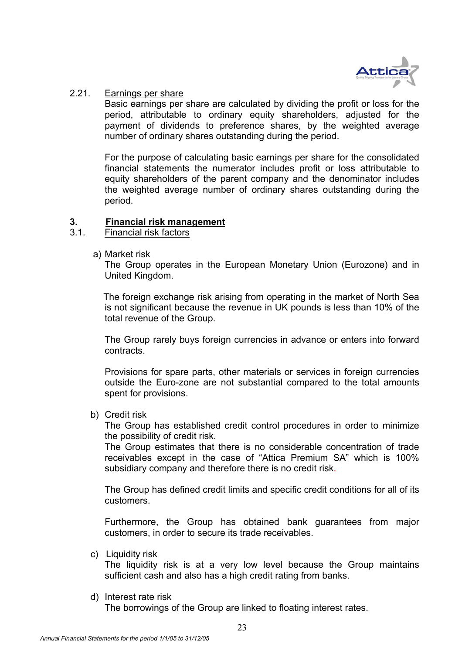

# 2.21. Earnings per share

Basic earnings per share are calculated by dividing the profit or loss for the period, attributable to ordinary equity shareholders, adjusted for the payment of dividends to preference shares, by the weighted average number of ordinary shares outstanding during the period.

For the purpose of calculating basic earnings per share for the consolidated financial statements the numerator includes profit or loss attributable to equity shareholders of the parent company and the denominator includes the weighted average number of ordinary shares outstanding during the period.

# **3. Financial risk management**

# 3.1. Financial risk factors

a) Market risk

 The Group operates in the European Monetary Union (Eurozone) and in United Kingdom.

 The foreign exchange risk arising from operating in the market of North Sea is not significant because the revenue in UK pounds is less than 10% of the total revenue of the Group.

 The Group rarely buys foreign currencies in advance or enters into forward contracts.

Provisions for spare parts, other materials or services in foreign currencies outside the Euro-zone are not substantial compared to the total amounts spent for provisions.

b) Credit risk

 The Group has established credit control procedures in order to minimize the possibility of credit risk.

 The Group estimates that there is no considerable concentration of trade receivables except in the case of "Attica Premium SA" which is 100% subsidiary company and therefore there is no credit risk.

The Group has defined credit limits and specific credit conditions for all of its customers.

 Furthermore, the Group has obtained bank guarantees from major customers, in order to secure its trade receivables.

c) Liquidity risk

 The liquidity risk is at a very low level because the Group maintains sufficient cash and also has a high credit rating from banks.

d) Interest rate risk

The borrowings of the Group are linked to floating interest rates.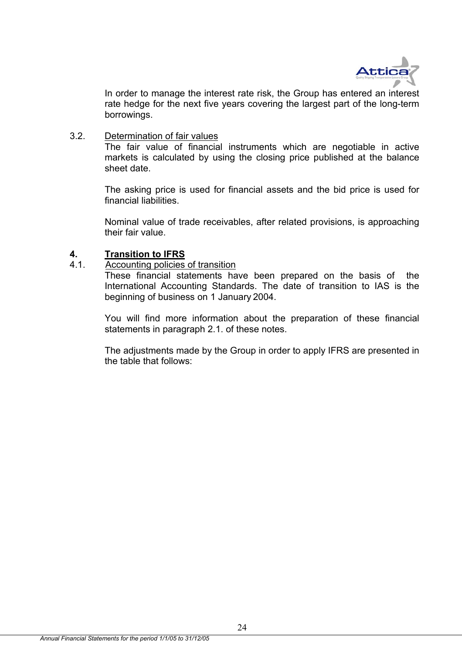

 In order to manage the interest rate risk, the Group has entered an interest rate hedge for the next five years covering the largest part of the long-term borrowings.

3.2. Determination of fair values

The fair value of financial instruments which are negotiable in active markets is calculated by using the closing price published at the balance sheet date.

The asking price is used for financial assets and the bid price is used for financial liabilities.

Nominal value of trade receivables, after related provisions, is approaching their fair value.

# **4. Transition to IFRS**

4.1. Accounting policies of transition

These financial statements have been prepared on the basis of the International Accounting Standards. The date of transition to IAS is the beginning of business on 1 January 2004.

You will find more information about the preparation of these financial statements in paragraph 2.1. of these notes.

The adjustments made by the Group in order to apply IFRS are presented in the table that follows: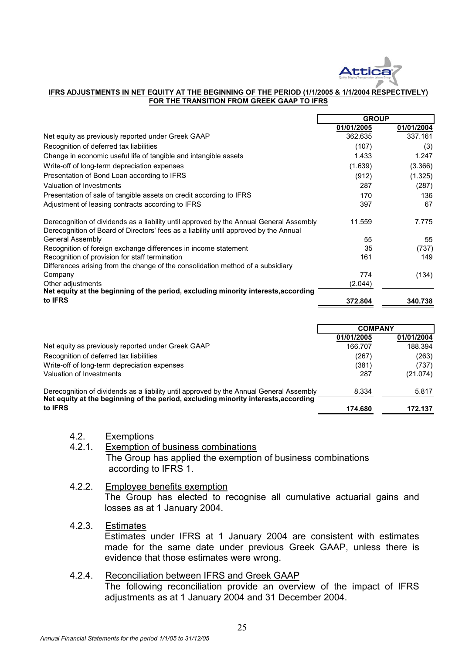

### **IFRS ADJUSTMENTS IN NET EQUITY AT THE BEGINNING OF THE PERIOD (1/1/2005 & 1/1/2004 RESPECTIVELY) FOR THE TRANSITION FROM GREEK GAAP TO IFRS**

|                                                                                                                                                                                  | <b>GROUP</b> |            |
|----------------------------------------------------------------------------------------------------------------------------------------------------------------------------------|--------------|------------|
|                                                                                                                                                                                  | 01/01/2005   | 01/01/2004 |
| Net equity as previously reported under Greek GAAP                                                                                                                               | 362.635      | 337.161    |
| Recognition of deferred tax liabilities                                                                                                                                          | (107)        | (3)        |
| Change in economic useful life of tangible and intangible assets                                                                                                                 | 1.433        | 1.247      |
| Write-off of long-term depreciation expenses                                                                                                                                     | (1.639)      | (3.366)    |
| Presentation of Bond Loan according to IFRS                                                                                                                                      | (912)        | (1.325)    |
| Valuation of Investments                                                                                                                                                         | 287          | (287)      |
| Presentation of sale of tangible assets on credit according to IFRS                                                                                                              | 170          | 136        |
| Adjustment of leasing contracts according to IFRS                                                                                                                                | 397          | 67         |
| Derecognition of dividends as a liability until approved by the Annual General Assembly<br>Derecognition of Board of Directors' fees as a liability until approved by the Annual | 11.559       | 7.775      |
| General Assembly                                                                                                                                                                 | 55           | 55         |
| Recognition of foreign exchange differences in income statement                                                                                                                  | 35           | (737)      |
| Recognition of provision for staff termination                                                                                                                                   | 161          | 149        |
| Differences arising from the change of the consolidation method of a subsidiary                                                                                                  |              |            |
| Company                                                                                                                                                                          | 774          | (134)      |
| Other adjustments                                                                                                                                                                | (2.044)      |            |
| Net equity at the beginning of the period, excluding minority interests, according                                                                                               |              |            |
| to <b>IFRS</b>                                                                                                                                                                   | 372.804      | 340.738    |

|                                                                                                                                                                               | <b>COMPANY</b> |            |
|-------------------------------------------------------------------------------------------------------------------------------------------------------------------------------|----------------|------------|
|                                                                                                                                                                               | 01/01/2005     | 01/01/2004 |
| Net equity as previously reported under Greek GAAP                                                                                                                            | 166.707        | 188.394    |
| Recognition of deferred tax liabilities                                                                                                                                       | (267)          | (263)      |
| Write-off of long-term depreciation expenses                                                                                                                                  | (381)          | (737)      |
| Valuation of Investments                                                                                                                                                      | 287            | (21.074)   |
| Derecognition of dividends as a liability until approved by the Annual General Assembly<br>Net equity at the beginning of the period, excluding minority interests, according | 8.334          | 5.817      |
| to <b>IFRS</b>                                                                                                                                                                | 174.680        | 172.137    |

4.2. Exemptions

# 4.2.1. Exemption of business combinations The Group has applied the exemption of business combinations according to IFRS 1.

4.2.2. Employee benefits exemption The Group has elected to recognise all cumulative actuarial gains and losses as at 1 January 2004.

# 4.2.3. Estimates

Estimates under IFRS at 1 January 2004 are consistent with estimates made for the same date under previous Greek GAAP, unless there is evidence that those estimates were wrong.

# 4.2.4. Reconciliation between IFRS and Greek GAAP

The following reconciliation provide an overview of the impact of IFRS adjustments as at 1 January 2004 and 31 December 2004.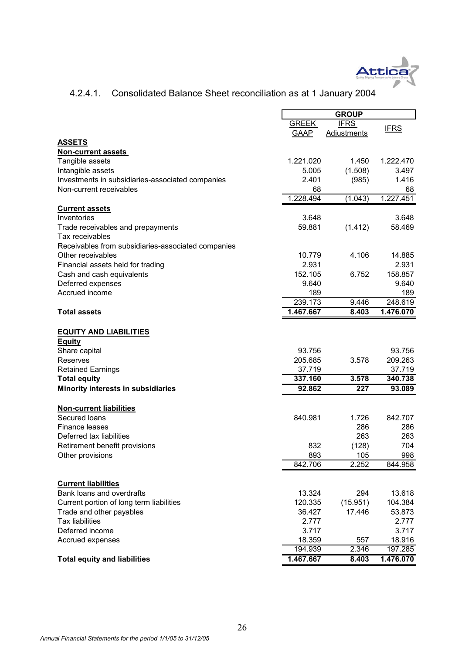

# 4.2.4.1. Consolidated Balance Sheet reconciliation as at 1 January 2004

|                                                    |              | <b>GROUP</b>       |             |
|----------------------------------------------------|--------------|--------------------|-------------|
|                                                    | <b>GREEK</b> | <b>IFRS</b>        |             |
|                                                    | GAAP         | <b>Adjustments</b> | <b>IFRS</b> |
| <b>ASSETS</b>                                      |              |                    |             |
| <b>Non-current assets</b>                          |              |                    |             |
| Tangible assets                                    | 1.221.020    | 1.450              | 1.222.470   |
| Intangible assets                                  | 5.005        | (1.508)            | 3.497       |
| Investments in subsidiaries-associated companies   | 2.401        | (985)              | 1.416       |
| Non-current receivables                            | 68           |                    | 68          |
|                                                    | 1.228.494    | (1.043)            | 1.227.451   |
| <b>Current assets</b>                              |              |                    |             |
| Inventories                                        | 3.648        |                    | 3.648       |
| Trade receivables and prepayments                  | 59.881       | (1.412)            | 58.469      |
| Tax receivables                                    |              |                    |             |
| Receivables from subsidiaries-associated companies |              |                    |             |
| Other receivables                                  | 10.779       | 4.106              | 14.885      |
| Financial assets held for trading                  | 2.931        |                    | 2.931       |
| Cash and cash equivalents                          | 152.105      | 6.752              | 158.857     |
| Deferred expenses                                  | 9.640        |                    | 9.640       |
| Accrued income                                     | 189          |                    | 189         |
|                                                    | 239.173      | 9.446              | 248.619     |
| <b>Total assets</b>                                | 1.467.667    | 8.403              | 1.476.070   |
|                                                    |              |                    |             |
| <b>EQUITY AND LIABILITIES</b>                      |              |                    |             |
| <b>Equity</b>                                      |              |                    |             |
| Share capital                                      | 93.756       |                    | 93.756      |
| Reserves                                           | 205.685      | 3.578              | 209.263     |
| <b>Retained Earnings</b>                           | 37.719       |                    | 37.719      |
| <b>Total equity</b>                                | 337.160      | 3.578              | 340.738     |
| <b>Minority interests in subsidiaries</b>          | 92.862       | 227                | 93.089      |
| <b>Non-current liabilities</b>                     |              |                    |             |
| Secured loans                                      | 840.981      | 1.726              | 842.707     |
| Finance leases                                     |              | 286                | 286         |
| Deferred tax liabilities                           |              | 263                | 263         |
| Retirement benefit provisions                      | 832          | (128)              | 704         |
| Other provisions                                   | 893          | 105                | 998         |
|                                                    | 842.706      | 2.252              | 844.958     |
|                                                    |              |                    |             |
| <b>Current liabilities</b>                         |              |                    |             |
| Bank loans and overdrafts                          | 13.324       | 294                | 13.618      |
| Current portion of long term liabilities           | 120.335      | (15.951)           | 104.384     |
| Trade and other payables                           | 36.427       | 17.446             | 53.873      |
| <b>Tax liabilities</b>                             | 2.777        |                    | 2.777       |
| Deferred income                                    | 3.717        |                    | 3.717       |
| Accrued expenses                                   | 18.359       | 557                | 18.916      |
|                                                    | 194.939      | 2.346              | 197.285     |
| <b>Total equity and liabilities</b>                | 1.467.667    | 8.403              | 1.476.070   |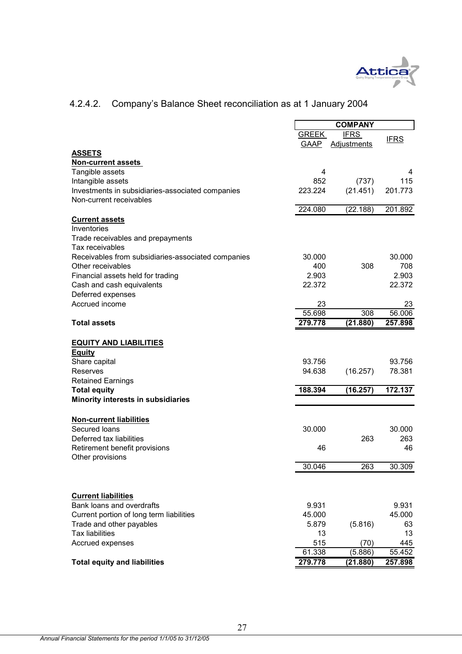

# 4.2.4.2. Company's Balance Sheet reconciliation as at 1 January 2004

|                                                    |              | <b>COMPANY</b>     |              |
|----------------------------------------------------|--------------|--------------------|--------------|
|                                                    | <b>GREEK</b> | <b>IFRS</b>        |              |
|                                                    | GAAP         | <b>Adjustments</b> | <b>IFRS</b>  |
| <b>ASSETS</b>                                      |              |                    |              |
| <b>Non-current assets</b>                          |              |                    |              |
| Tangible assets                                    | 4            |                    | 4            |
| Intangible assets                                  | 852          | (737)              | 115          |
| Investments in subsidiaries-associated companies   | 223.224      | (21.451)           | 201.773      |
| Non-current receivables                            |              |                    |              |
|                                                    | 224.080      | (22.188)           | 201.892      |
| <b>Current assets</b>                              |              |                    |              |
| Inventories                                        |              |                    |              |
| Trade receivables and prepayments                  |              |                    |              |
| Tax receivables                                    |              |                    |              |
| Receivables from subsidiaries-associated companies | 30,000       |                    | 30.000       |
| Other receivables                                  | 400          | 308                | 708          |
| Financial assets held for trading                  | 2.903        |                    | 2.903        |
| Cash and cash equivalents                          | 22.372       |                    | 22.372       |
|                                                    |              |                    |              |
| Deferred expenses<br>Accrued income                |              |                    |              |
|                                                    | 23<br>55.698 | 308                | 23<br>56.006 |
|                                                    |              |                    |              |
| <b>Total assets</b>                                | 279.778      | (21.880)           | 257.898      |
|                                                    |              |                    |              |
| <b>EQUITY AND LIABILITIES</b>                      |              |                    |              |
| <b>Equity</b>                                      |              |                    |              |
| Share capital                                      | 93.756       |                    | 93.756       |
| Reserves                                           | 94.638       | (16.257)           | 78.381       |
| <b>Retained Earnings</b>                           |              |                    |              |
| <b>Total equity</b>                                | 188.394      | (16.257)           | 172.137      |
| Minority interests in subsidiaries                 |              |                    |              |
|                                                    |              |                    |              |
| <b>Non-current liabilities</b>                     |              |                    |              |
| Secured loans                                      | 30.000       |                    | 30.000       |
| Deferred tax liabilities                           |              | 263                | 263          |
| Retirement benefit provisions                      | 46           |                    | 46           |
| Other provisions                                   |              |                    |              |
|                                                    | 30.046       | 263                | 30.309       |
|                                                    |              |                    |              |
|                                                    |              |                    |              |
| <b>Current liabilities</b>                         |              |                    |              |
| Bank loans and overdrafts                          | 9.931        |                    | 9.931        |
| Current portion of long term liabilities           | 45.000       |                    | 45.000       |
| Trade and other payables                           | 5.879        | (5.816)            | 63           |
| <b>Tax liabilities</b>                             | 13           |                    | 13           |
| Accrued expenses                                   | 515          | (70)               | 445          |
|                                                    | 61.338       | (5.886)            | 55.452       |
| <b>Total equity and liabilities</b>                | 279.778      | (21.880)           | 257.898      |
|                                                    |              |                    |              |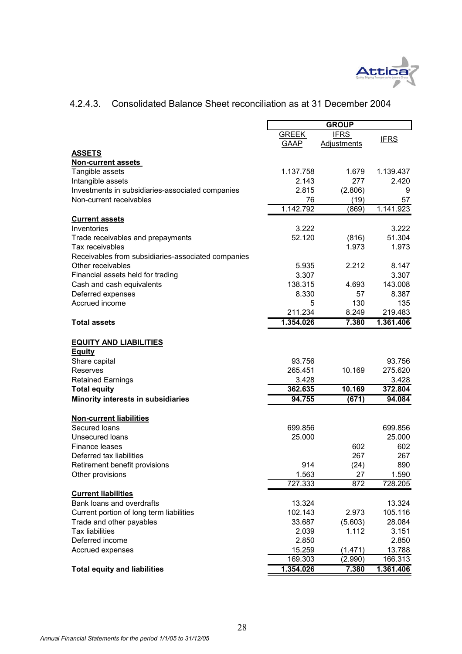

# 4.2.4.3. Consolidated Balance Sheet reconciliation as at 31 December 2004

|                                                    |              | <b>GROUP</b>       |             |
|----------------------------------------------------|--------------|--------------------|-------------|
|                                                    | <b>GREEK</b> | <b>IFRS</b>        |             |
|                                                    | GAAP         | <b>Adjustments</b> | <b>IFRS</b> |
| <b>ASSETS</b>                                      |              |                    |             |
| <b>Non-current assets</b>                          |              |                    |             |
| Tangible assets                                    | 1.137.758    | 1.679              | 1.139.437   |
| Intangible assets                                  | 2.143        | 277                | 2.420       |
| Investments in subsidiaries-associated companies   | 2.815        | (2.806)            | 9           |
| Non-current receivables                            | 76           | (19)               | 57          |
|                                                    | 1.142.792    | (869)              | 1.141.923   |
| <b>Current assets</b>                              |              |                    |             |
| Inventories                                        | 3.222        |                    | 3.222       |
| Trade receivables and prepayments                  | 52.120       | (816)              | 51.304      |
| Tax receivables                                    |              | 1.973              | 1.973       |
| Receivables from subsidiaries-associated companies |              |                    |             |
| Other receivables                                  | 5.935        | 2.212              | 8.147       |
| Financial assets held for trading                  | 3.307        |                    | 3.307       |
| Cash and cash equivalents                          | 138.315      | 4.693              | 143.008     |
| Deferred expenses                                  | 8.330        | 57                 | 8.387       |
| Accrued income                                     | 5            | 130                | 135         |
|                                                    | 211.234      | 8.249              | 219.483     |
| <b>Total assets</b>                                | 1.354.026    | 7.380              | 1.361.406   |
|                                                    |              |                    |             |
| <b>EQUITY AND LIABILITIES</b>                      |              |                    |             |
| <b>Equity</b>                                      |              |                    |             |
| Share capital                                      | 93.756       |                    | 93.756      |
| Reserves                                           | 265.451      | 10.169             | 275.620     |
| <b>Retained Earnings</b>                           | 3.428        |                    | 3.428       |
| <b>Total equity</b>                                | 362.635      | 10.169             | 372.804     |
| Minority interests in subsidiaries                 | 94.755       | (671)              | 94.084      |
|                                                    |              |                    |             |
| <b>Non-current liabilities</b>                     |              |                    |             |
| Secured loans                                      | 699.856      |                    | 699.856     |
| <b>Unsecured loans</b>                             | 25.000       |                    | 25.000      |
| Finance leases                                     |              | 602                | 602         |
| Deferred tax liabilities                           |              | 267                | 267         |
| Retirement benefit provisions                      | 914          | (24)               | 890         |
| Other provisions                                   | 1.563        | 27                 | 1.590       |
|                                                    | 727.333      | 872                | 728.205     |
| <b>Current liabilities</b>                         |              |                    |             |
| Bank loans and overdrafts                          | 13.324       |                    | 13.324      |
| Current portion of long term liabilities           | 102.143      | 2.973              | 105.116     |
| Trade and other payables                           | 33.687       | (5.603)            | 28.084      |
| <b>Tax liabilities</b>                             | 2.039        | 1.112              | 3.151       |
| Deferred income                                    | 2.850        |                    | 2.850       |
| Accrued expenses                                   | 15.259       | (1.471)            | 13.788      |
|                                                    | 169.303      | (2.990)            | 166.313     |
| <b>Total equity and liabilities</b>                | 1.354.026    | 7.380              | 1.361.406   |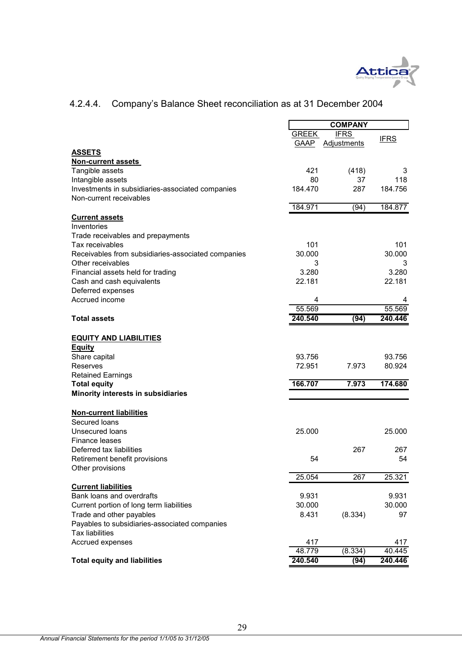

### GREEK GAAP IFRS Adjustments IFRS **ASSETS Non-current assets**  Tangible assets 3 and 3 and 3 and 421 and 421 and 448 and 448 and 448 and 448 and 448 and 450 and 421 and 421 and 421 and 421 and 421 and 421 and 421 and 421 and 421 and 421 and 421 and 421 and 421 and 421 and 421 and 421 Intangible assets **80** 37 118 Investments in subsidiaries-associated companies 184.470 287 184.756 Non-current receivables 184.971 (94) 184.877 **Current assets** Inventories Trade receivables and prepayments Tax receivables 101 101 Receivables from subsidiaries-associated companies 30.000 30.000 30.000 Other receivables 3 3 3 3 3 3 3 3 4 3 3 4 3 3 4 3 3 4 3 4 3 4 3 4 3 4 3 4 3 4 3 4  $\,$  3  $\,$  3  $\,$  3  $\,$  3  $\,$  3  $\,$  3  $\,$  3  $\,$  3  $\,$  3  $\,$  3  $\,$  3  $\,$  3  $\,$  3  $\,$  3  $\,$  3  $\,$  3  $\,$  3  $\,$  3  $\,$  3  $\,$  3 Financial assets held for trading  $3.280$  3.280 3.280 Cash and cash equivalents 22.181 22.181 Deferred expenses Accrued income 4 4 55.569 55.569 **Total assets 240.540 (94) 240.446 EQUITY AND LIABILITIES Equity** Share capital 93.756 93.756 93.756 Reserves 72.951 7.973 80.924 Retained Earnings **Total equity 166.707 7.973 174.680 Minority interests in subsidiaries Non-current liabilities** Secured loans Unsecured loans 25.000 25.000 Finance leases Deferred tax liabilities 267 267 Retirement benefit provisions 54 54 Other provisions 25.054 267 25.321 **Current liabilities** Bank loans and overdrafts 9.931 9.931 Current portion of long term liabilities 30.000 30.000 Trade and other payables **8.431** (8.334) 97 Payables to subsidiaries-associated companies Tax liabilities Accrued expenses 417 417 48.779 (8.334) 40.445 **Total equity and liabilities 240.540 (94) 240.446 COMPANY**

# 4.2.4.4. Company's Balance Sheet reconciliation as at 31 December 2004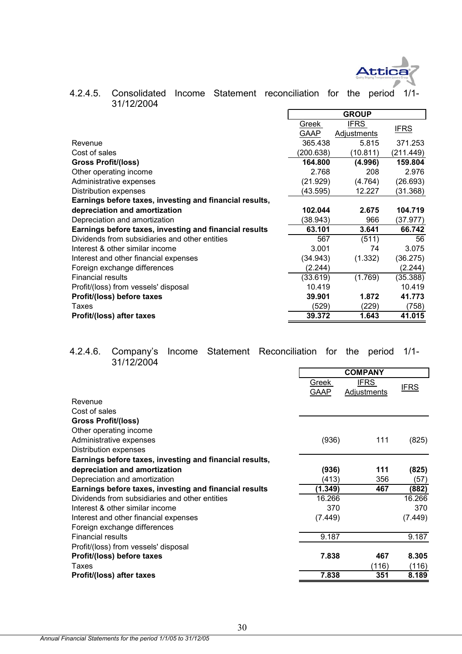

| 4.2.4.5. Consolidated Income Statement reconciliation for the period 1/1-<br>31/12/2004 |  |  |       |  |  |
|-----------------------------------------------------------------------------------------|--|--|-------|--|--|
|                                                                                         |  |  | CDOIB |  |  |

|                                                         |           | <b>GROUP</b> |             |
|---------------------------------------------------------|-----------|--------------|-------------|
|                                                         | Greek     | <b>IFRS</b>  |             |
|                                                         | GAAP      | Adjustments  | <u>IFRS</u> |
| Revenue                                                 | 365.438   | 5.815        | 371.253     |
| Cost of sales                                           | (200.638) | (10.811)     | (211.449)   |
| <b>Gross Profit/(loss)</b>                              | 164.800   | (4.996)      | 159.804     |
| Other operating income                                  | 2.768     | 208          | 2.976       |
| Administrative expenses                                 | (21.929)  | (4.764)      | (26.693)    |
| <b>Distribution expenses</b>                            | (43.595)  | 12.227       | (31.368)    |
| Earnings before taxes, investing and financial results, |           |              |             |
| depreciation and amortization                           | 102.044   | 2.675        | 104.719     |
| Depreciation and amortization                           | (38.943)  | 966          | (37.977)    |
| Earnings before taxes, investing and financial results  | 63.101    | 3.641        | 66.742      |
| Dividends from subsidiaries and other entities          | 567       | (511)        | 56          |
| Interest & other similar income                         | 3.001     | 74           | 3.075       |
| Interest and other financial expenses                   | (34.943)  | (1.332)      | (36.275)    |
| Foreign exchange differences                            | (2.244)   |              | (2.244)     |
| <b>Financial results</b>                                | (33.619)  | (1.769)      | (35.388)    |
| Profit/(loss) from vessels' disposal                    | 10.419    |              | 10.419      |
| Profit/(loss) before taxes                              | 39,901    | 1.872        | 41.773      |
| Taxes                                                   | (529)     | (229)        | (758)       |
| Profit/(loss) after taxes                               | 39.372    | 1.643        | 41.015      |
|                                                         |           |              |             |

# 4.2.4.6. Company's Income Statement Reconciliation for the period 1/1- 31/12/2004

|                                                         |               | <b>COMPANY</b>             |             |
|---------------------------------------------------------|---------------|----------------------------|-------------|
|                                                         | Greek<br>GAAP | <b>IFRS</b><br>Adjustments | <b>IFRS</b> |
| Revenue                                                 |               |                            |             |
| Cost of sales                                           |               |                            |             |
| <b>Gross Profit/(loss)</b>                              |               |                            |             |
| Other operating income                                  |               |                            |             |
| Administrative expenses                                 | (936)         | 111                        | (825)       |
| Distribution expenses                                   |               |                            |             |
| Earnings before taxes, investing and financial results, |               |                            |             |
| depreciation and amortization                           | (936)         | 111                        | (825)       |
| Depreciation and amortization                           | (413)         | 356                        | (57)        |
| Earnings before taxes, investing and financial results  | (1.349)       | 467                        | (882)       |
| Dividends from subsidiaries and other entities          | 16.266        |                            | 16.266      |
| Interest & other similar income                         | 370           |                            | 370         |
| Interest and other financial expenses                   | (7.449)       |                            | (7.449)     |
| Foreign exchange differences                            |               |                            |             |
| <b>Financial results</b>                                | 9.187         |                            | 9.187       |
| Profit/(loss) from vessels' disposal                    |               |                            |             |
| Profit/(loss) before taxes                              | 7.838         | 467                        | 8.305       |
| Taxes                                                   |               | (116)                      | (116)       |
| Profit/(loss) after taxes                               | 7.838         | 351                        | 8.189       |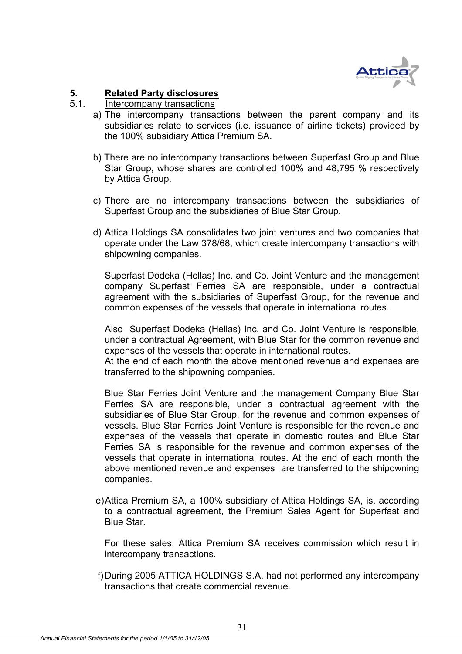

# **5. Related Party disclosures**

# 5.1. Intercompany transactions

- a) The intercompany transactions between the parent company and its subsidiaries relate to services (i.e. issuance of airline tickets) provided by the 100% subsidiary Attica Premium SA.
- b) There are no intercompany transactions between Superfast Group and Blue Star Group, whose shares are controlled 100% and 48,795 % respectively by Attica Group.
- c) There are no intercompany transactions between the subsidiaries of Superfast Group and the subsidiaries of Blue Star Group.
- d) Attica Holdings SA consolidates two joint ventures and two companies that operate under the Law 378/68, which create intercompany transactions with shipowning companies.

Superfast Dodeka (Hellas) Inc. and Co. Joint Venture and the management company Superfast Ferries SA are responsible, under a contractual agreement with the subsidiaries of Superfast Group, for the revenue and common expenses of the vessels that operate in international routes.

Also Superfast Dodeka (Hellas) Inc. and Co. Joint Venture is responsible, under a contractual Agreement, with Blue Star for the common revenue and expenses of the vessels that operate in international routes.

At the end of each month the above mentioned revenue and expenses are transferred to the shipowning companies.

Blue Star Ferries Joint Venture and the management Company Blue Star Ferries SA are responsible, under a contractual agreement with the subsidiaries of Blue Star Group, for the revenue and common expenses of vessels. Blue Star Ferries Joint Venture is responsible for the revenue and expenses of the vessels that operate in domestic routes and Blue Star Ferries SA is responsible for the revenue and common expenses of the vessels that operate in international routes. At the end of each month the above mentioned revenue and expenses are transferred to the shipowning companies.

 e) Attica Premium SA, a 100% subsidiary of Attica Holdings SA, is, according to a contractual agreement, the Premium Sales Agent for Superfast and Blue Star.

For these sales, Attica Premium SA receives commission which result in intercompany transactions.

f) During 2005 ATTICA HOLDINGS S.A. had not performed any intercompany transactions that create commercial revenue.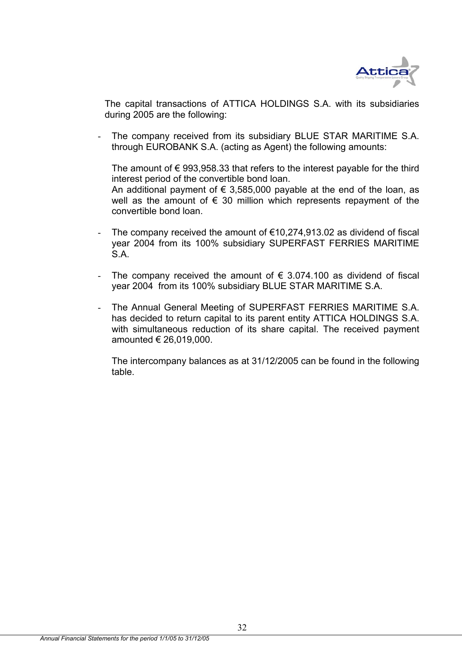

The capital transactions of ATTICA HOLDINGS S.A. with its subsidiaries during 2005 are the following:

The company received from its subsidiary BLUE STAR MARITIME S.A. through EUROBANK S.A. (acting as Agent) the following amounts:

The amount of  $\epsilon$  993,958,33 that refers to the interest payable for the third interest period of the convertible bond loan. An additional payment of  $\epsilon$  3,585,000 payable at the end of the loan, as well as the amount of  $\epsilon$  30 million which represents repayment of the convertible bond loan.

- The company received the amount of  $\epsilon$ 10,274,913.02 as dividend of fiscal year 2004 from its 100% subsidiary SUPERFAST FERRIES MARITIME S.A.
- The company received the amount of  $\epsilon$  3.074.100 as dividend of fiscal year 2004 from its 100% subsidiary BLUE STAR MARITIME S.A.
- The Annual General Meeting of SUPERFAST FERRIES MARITIME S.A. has decided to return capital to its parent entity ATTICA HOLDINGS S.A. with simultaneous reduction of its share capital. The received payment amounted € 26,019,000.

The intercompany balances as at 31/12/2005 can be found in the following table.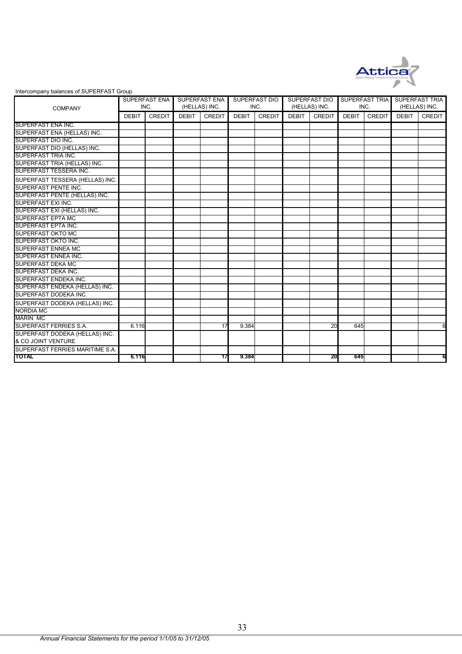

#### Intercompany balances of SUPERFAST Group

|                                 | <b>SUPERFAST ENA</b> |               | <b>SUPERFAST ENA</b> |               | <b>SUPERFAST DIO</b> |               | <b>SUPERFAST DIO</b> |               | SUPERFAST TRIA |               | <b>SUPERFAST TRIA</b> |               |
|---------------------------------|----------------------|---------------|----------------------|---------------|----------------------|---------------|----------------------|---------------|----------------|---------------|-----------------------|---------------|
| <b>COMPANY</b>                  |                      | INC.          | (HELLAS) INC.        |               | INC.                 |               | (HELLAS) INC.        |               | INC.           |               | (HELLAS) INC.         |               |
|                                 | <b>DEBIT</b>         | <b>CREDIT</b> | <b>DEBIT</b>         | <b>CREDIT</b> | <b>DEBIT</b>         | <b>CREDIT</b> | <b>DEBIT</b>         | <b>CREDIT</b> | <b>DEBIT</b>   | <b>CREDIT</b> | <b>DEBIT</b>          | <b>CREDIT</b> |
| SUPERFAST ENA INC.              |                      |               |                      |               |                      |               |                      |               |                |               |                       |               |
| SUPERFAST ENA (HELLAS) INC.     |                      |               |                      |               |                      |               |                      |               |                |               |                       |               |
| SUPERFAST DIO INC.              |                      |               |                      |               |                      |               |                      |               |                |               |                       |               |
| SUPERFAST DIO (HELLAS) INC.     |                      |               |                      |               |                      |               |                      |               |                |               |                       |               |
| SUPERFAST TRIA INC.             |                      |               |                      |               |                      |               |                      |               |                |               |                       |               |
| SUPERFAST TRIA (HELLAS) INC.    |                      |               |                      |               |                      |               |                      |               |                |               |                       |               |
| SUPERFAST TESSERA INC.          |                      |               |                      |               |                      |               |                      |               |                |               |                       |               |
| SUPERFAST TESSERA (HELLAS) INC. |                      |               |                      |               |                      |               |                      |               |                |               |                       |               |
| SUPERFAST PENTE INC.            |                      |               |                      |               |                      |               |                      |               |                |               |                       |               |
| SUPERFAST PENTE (HELLAS) INC.   |                      |               |                      |               |                      |               |                      |               |                |               |                       |               |
| SUPERFAST EXI INC.              |                      |               |                      |               |                      |               |                      |               |                |               |                       |               |
| SUPERFAST EXI (HELLAS) INC.     |                      |               |                      |               |                      |               |                      |               |                |               |                       |               |
| <b>SUPERFAST EPTA MC</b>        |                      |               |                      |               |                      |               |                      |               |                |               |                       |               |
| SUPERFAST EPTA INC.             |                      |               |                      |               |                      |               |                      |               |                |               |                       |               |
| <b>SUPERFAST OKTO MC</b>        |                      |               |                      |               |                      |               |                      |               |                |               |                       |               |
| SUPERFAST OKTO INC.             |                      |               |                      |               |                      |               |                      |               |                |               |                       |               |
| <b>SUPERFAST ENNEA MC</b>       |                      |               |                      |               |                      |               |                      |               |                |               |                       |               |
| SUPERFAST ENNEA INC.            |                      |               |                      |               |                      |               |                      |               |                |               |                       |               |
| <b>SUPERFAST DEKA MC</b>        |                      |               |                      |               |                      |               |                      |               |                |               |                       |               |
| SUPERFAST DEKA INC.             |                      |               |                      |               |                      |               |                      |               |                |               |                       |               |
| SUPERFAST ENDEKA INC.           |                      |               |                      |               |                      |               |                      |               |                |               |                       |               |
| SUPERFAST ENDEKA (HELLAS) INC.  |                      |               |                      |               |                      |               |                      |               |                |               |                       |               |
| SUPERFAST DODEKA INC.           |                      |               |                      |               |                      |               |                      |               |                |               |                       |               |
| SUPERFAST DODEKA (HELLAS) INC.  |                      |               |                      |               |                      |               |                      |               |                |               |                       |               |
| <b>NORDIA MC</b>                |                      |               |                      |               |                      |               |                      |               |                |               |                       |               |
| <b>MARIN MC</b>                 |                      |               |                      |               |                      |               |                      |               |                |               |                       |               |
| SUPERFAST FERRIES S.A.          | 6.116                |               |                      | 17            | 9.384                |               |                      | 20            | 645            |               |                       | 6             |
| SUPERFAST DODEKA (HELLAS) INC.  |                      |               |                      |               |                      |               |                      |               |                |               |                       |               |
| & CO JOINT VENTURE              |                      |               |                      |               |                      |               |                      |               |                |               |                       |               |
| SUPERFAST FERRIES MARITIME S.A. |                      |               |                      |               |                      |               |                      |               |                |               |                       |               |
| <b>TOTAL</b>                    | 6.116                |               |                      | 17            | 9.384                |               |                      | 20            | 645            |               |                       | 6             |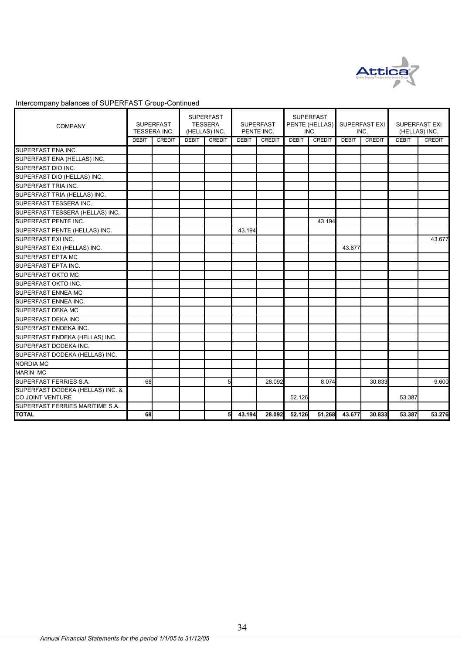

# Intercompany balances of SUPERFAST Group-Continued

| <b>COMPANY</b>                                              | <b>SUPERFAST</b><br>TESSERA INC. |               |              | <b>SUPERFAST</b><br><b>TESSERA</b><br>(HELLAS) INC. |              | <b>SUPERFAST</b><br>PENTE INC. |              | <b>SUPERFAST</b><br>PENTE (HELLAS)<br>INC. |              | SUPERFAST EXI<br>INC. |              | SUPERFAST EXI<br>(HELLAS) INC. |  |
|-------------------------------------------------------------|----------------------------------|---------------|--------------|-----------------------------------------------------|--------------|--------------------------------|--------------|--------------------------------------------|--------------|-----------------------|--------------|--------------------------------|--|
|                                                             | <b>DEBIT</b>                     | <b>CREDIT</b> | <b>DEBIT</b> | <b>CREDIT</b>                                       | <b>DEBIT</b> | <b>CREDIT</b>                  | <b>DEBIT</b> | <b>CREDIT</b>                              | <b>DEBIT</b> | <b>CREDIT</b>         | <b>DEBIT</b> | <b>CREDIT</b>                  |  |
| SUPERFAST ENA INC.                                          |                                  |               |              |                                                     |              |                                |              |                                            |              |                       |              |                                |  |
| SUPERFAST ENA (HELLAS) INC.                                 |                                  |               |              |                                                     |              |                                |              |                                            |              |                       |              |                                |  |
| SUPERFAST DIO INC.                                          |                                  |               |              |                                                     |              |                                |              |                                            |              |                       |              |                                |  |
| SUPERFAST DIO (HELLAS) INC.                                 |                                  |               |              |                                                     |              |                                |              |                                            |              |                       |              |                                |  |
| SUPERFAST TRIA INC.                                         |                                  |               |              |                                                     |              |                                |              |                                            |              |                       |              |                                |  |
| SUPERFAST TRIA (HELLAS) INC.                                |                                  |               |              |                                                     |              |                                |              |                                            |              |                       |              |                                |  |
| SUPERFAST TESSERA INC.                                      |                                  |               |              |                                                     |              |                                |              |                                            |              |                       |              |                                |  |
| SUPERFAST TESSERA (HELLAS) INC.                             |                                  |               |              |                                                     |              |                                |              |                                            |              |                       |              |                                |  |
| SUPERFAST PENTE INC.                                        |                                  |               |              |                                                     |              |                                |              | 43.194                                     |              |                       |              |                                |  |
| SUPERFAST PENTE (HELLAS) INC.                               |                                  |               |              |                                                     | 43.194       |                                |              |                                            |              |                       |              |                                |  |
| SUPERFAST EXI INC.                                          |                                  |               |              |                                                     |              |                                |              |                                            |              |                       |              | 43.677                         |  |
| SUPERFAST EXI (HELLAS) INC.                                 |                                  |               |              |                                                     |              |                                |              |                                            | 43.677       |                       |              |                                |  |
| <b>SUPERFAST EPTA MC</b>                                    |                                  |               |              |                                                     |              |                                |              |                                            |              |                       |              |                                |  |
| <b>SUPERFAST EPTA INC.</b>                                  |                                  |               |              |                                                     |              |                                |              |                                            |              |                       |              |                                |  |
| <b>SUPERFAST OKTO MC</b>                                    |                                  |               |              |                                                     |              |                                |              |                                            |              |                       |              |                                |  |
| SUPERFAST OKTO INC.                                         |                                  |               |              |                                                     |              |                                |              |                                            |              |                       |              |                                |  |
| <b>SUPERFAST ENNEA MC</b>                                   |                                  |               |              |                                                     |              |                                |              |                                            |              |                       |              |                                |  |
| SUPERFAST ENNEA INC.                                        |                                  |               |              |                                                     |              |                                |              |                                            |              |                       |              |                                |  |
| <b>SUPERFAST DEKA MC</b>                                    |                                  |               |              |                                                     |              |                                |              |                                            |              |                       |              |                                |  |
| <b>SUPERFAST DEKA INC.</b>                                  |                                  |               |              |                                                     |              |                                |              |                                            |              |                       |              |                                |  |
| SUPERFAST ENDEKA INC.                                       |                                  |               |              |                                                     |              |                                |              |                                            |              |                       |              |                                |  |
| SUPERFAST ENDEKA (HELLAS) INC.                              |                                  |               |              |                                                     |              |                                |              |                                            |              |                       |              |                                |  |
| SUPERFAST DODEKA INC.                                       |                                  |               |              |                                                     |              |                                |              |                                            |              |                       |              |                                |  |
| SUPERFAST DODEKA (HELLAS) INC.                              |                                  |               |              |                                                     |              |                                |              |                                            |              |                       |              |                                |  |
| <b>NORDIA MC</b>                                            |                                  |               |              |                                                     |              |                                |              |                                            |              |                       |              |                                |  |
| <b>MARIN MC</b>                                             |                                  |               |              |                                                     |              |                                |              |                                            |              |                       |              |                                |  |
| SUPERFAST FERRIES S.A.                                      | 68                               |               |              |                                                     |              | 28.092                         |              | 8.074                                      |              | 30.833                |              | 9.600                          |  |
| SUPERFAST DODEKA (HELLAS) INC. &<br><b>CO JOINT VENTURE</b> |                                  |               |              |                                                     |              |                                | 52.126       |                                            |              |                       | 53.387       |                                |  |
| SUPERFAST FERRIES MARITIME S.A.                             |                                  |               |              |                                                     |              |                                |              |                                            |              |                       |              |                                |  |
| <b>TOTAL</b>                                                | 68                               |               |              | 5                                                   | 43.194       | 28.092                         | 52.126       | 51.268                                     | 43.677       | 30.833                | 53.387       | 53.276                         |  |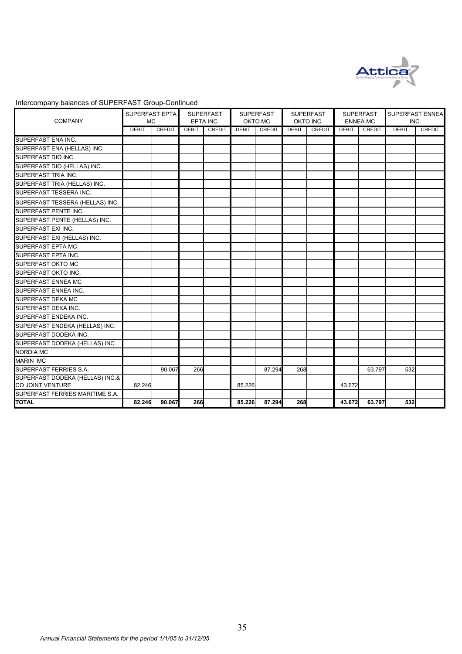

| Intercompany balances of SUPERFAST Group-Continued |  |
|----------------------------------------------------|--|
|----------------------------------------------------|--|

| <b>COMPANY</b>                                      | SUPERFAST EPTA<br><b>MC</b> |               | <b>SUPERFAST</b><br>EPTA INC. |        | <b>SUPERFAST</b><br>OKTO MC |        | <b>SUPERFAST</b><br>OKTO INC. |               | <b>SUPERFAST</b><br><b>ENNEA MC</b> |        | SUPERFAST ENNEA<br>INC. |               |
|-----------------------------------------------------|-----------------------------|---------------|-------------------------------|--------|-----------------------------|--------|-------------------------------|---------------|-------------------------------------|--------|-------------------------|---------------|
|                                                     | <b>DEBIT</b>                | <b>CREDIT</b> | <b>DEBIT</b>                  | CREDIT | <b>DEBIT</b>                | CREDIT | <b>DEBIT</b>                  | <b>CREDIT</b> | <b>DEBIT</b>                        | CREDIT | <b>DEBIT</b>            | <b>CREDIT</b> |
| SUPERFAST ENA INC.                                  |                             |               |                               |        |                             |        |                               |               |                                     |        |                         |               |
| SUPERFAST ENA (HELLAS) INC.                         |                             |               |                               |        |                             |        |                               |               |                                     |        |                         |               |
| <b>SUPERFAST DIO INC.</b>                           |                             |               |                               |        |                             |        |                               |               |                                     |        |                         |               |
| SUPERFAST DIO (HELLAS) INC.                         |                             |               |                               |        |                             |        |                               |               |                                     |        |                         |               |
| SUPERFAST TRIA INC.                                 |                             |               |                               |        |                             |        |                               |               |                                     |        |                         |               |
| SUPERFAST TRIA (HELLAS) INC.                        |                             |               |                               |        |                             |        |                               |               |                                     |        |                         |               |
| SUPERFAST TESSERA INC.                              |                             |               |                               |        |                             |        |                               |               |                                     |        |                         |               |
| SUPERFAST TESSERA (HELLAS) INC.                     |                             |               |                               |        |                             |        |                               |               |                                     |        |                         |               |
| <b>SUPERFAST PENTE INC.</b>                         |                             |               |                               |        |                             |        |                               |               |                                     |        |                         |               |
| SUPERFAST PENTE (HELLAS) INC.                       |                             |               |                               |        |                             |        |                               |               |                                     |        |                         |               |
| SUPERFAST EXI INC.                                  |                             |               |                               |        |                             |        |                               |               |                                     |        |                         |               |
| SUPERFAST EXI (HELLAS) INC.                         |                             |               |                               |        |                             |        |                               |               |                                     |        |                         |               |
| SUPERFAST EPTA MC                                   |                             |               |                               |        |                             |        |                               |               |                                     |        |                         |               |
| SUPERFAST EPTA INC.                                 |                             |               |                               |        |                             |        |                               |               |                                     |        |                         |               |
| <b>SUPERFAST OKTO MC</b>                            |                             |               |                               |        |                             |        |                               |               |                                     |        |                         |               |
| <b>SUPERFAST OKTO INC.</b>                          |                             |               |                               |        |                             |        |                               |               |                                     |        |                         |               |
| SUPERFAST ENNEA MC                                  |                             |               |                               |        |                             |        |                               |               |                                     |        |                         |               |
| <b>SUPERFAST ENNEA INC.</b>                         |                             |               |                               |        |                             |        |                               |               |                                     |        |                         |               |
| <b>SUPERFAST DEKA MC</b>                            |                             |               |                               |        |                             |        |                               |               |                                     |        |                         |               |
| SUPERFAST DEKA INC.                                 |                             |               |                               |        |                             |        |                               |               |                                     |        |                         |               |
| SUPERFAST ENDEKA INC.                               |                             |               |                               |        |                             |        |                               |               |                                     |        |                         |               |
| SUPERFAST ENDEKA (HELLAS) INC.                      |                             |               |                               |        |                             |        |                               |               |                                     |        |                         |               |
| SUPERFAST DODEKA INC.                               |                             |               |                               |        |                             |        |                               |               |                                     |        |                         |               |
| SUPERFAST DODEKA (HELLAS) INC.                      |                             |               |                               |        |                             |        |                               |               |                                     |        |                         |               |
| <b>NORDIA MC</b>                                    |                             |               |                               |        |                             |        |                               |               |                                     |        |                         |               |
| <b>MARIN MC</b>                                     |                             |               |                               |        |                             |        |                               |               |                                     |        |                         |               |
| SUPERFAST FERRIES S.A.                              |                             | 90.067        | 266                           |        |                             | 87.294 | 268                           |               |                                     | 63.797 | 532                     |               |
| SUPERFAST DODEKA (HELLAS) INC.&<br>CO JOINT VENTURE | 82.246                      |               |                               |        | 85.226                      |        |                               |               | 43.672                              |        |                         |               |
| SUPERFAST FERRIES MARITIME S.A.                     |                             |               |                               |        |                             |        |                               |               |                                     |        |                         |               |
| <b>TOTAL</b>                                        | 82.246                      | 90.067        | 266                           |        | 85.226                      | 87.294 | 268                           |               | 43.672                              | 63.797 | 532                     |               |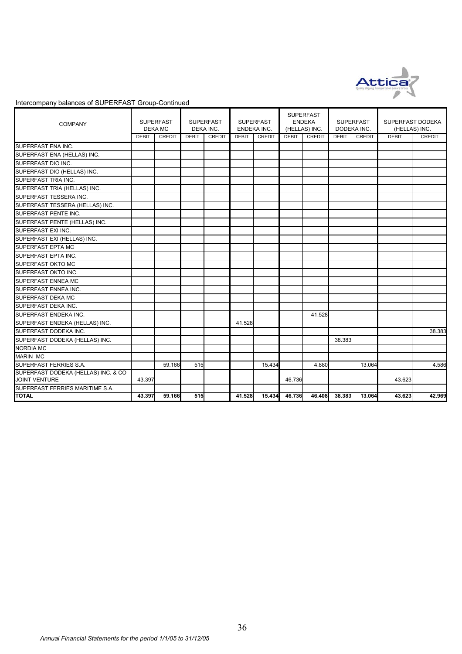

### Intercompany balances of SUPERFAST Group-Continued

| <b>COMPANY</b>                                              |              | <b>SUPERFAST</b><br><b>DEKA MC</b> |              | <b>SUPERFAST</b><br>DEKA INC. |              | <b>SUPERFAST</b><br>ENDEKA INC. | (HELLAS) INC. | <b>SUPERFAST</b><br><b>ENDEKA</b> |              | <b>SUPERFAST</b><br>DODEKA INC. | SUPERFAST DODEKA<br>(HELLAS) INC. |        |
|-------------------------------------------------------------|--------------|------------------------------------|--------------|-------------------------------|--------------|---------------------------------|---------------|-----------------------------------|--------------|---------------------------------|-----------------------------------|--------|
|                                                             | <b>DEBIT</b> | <b>CREDIT</b>                      | <b>DEBIT</b> | CREDIT                        | <b>DEBIT</b> | <b>CREDIT</b>                   | <b>DEBIT</b>  | <b>CREDIT</b>                     | <b>DEBIT</b> | CREDIT                          | <b>DEBIT</b>                      | CREDIT |
| SUPERFAST ENA INC.                                          |              |                                    |              |                               |              |                                 |               |                                   |              |                                 |                                   |        |
| SUPERFAST ENA (HELLAS) INC.                                 |              |                                    |              |                               |              |                                 |               |                                   |              |                                 |                                   |        |
| SUPERFAST DIO INC.                                          |              |                                    |              |                               |              |                                 |               |                                   |              |                                 |                                   |        |
| SUPERFAST DIO (HELLAS) INC.                                 |              |                                    |              |                               |              |                                 |               |                                   |              |                                 |                                   |        |
| SUPERFAST TRIA INC.                                         |              |                                    |              |                               |              |                                 |               |                                   |              |                                 |                                   |        |
| SUPERFAST TRIA (HELLAS) INC.                                |              |                                    |              |                               |              |                                 |               |                                   |              |                                 |                                   |        |
| SUPERFAST TESSERA INC.                                      |              |                                    |              |                               |              |                                 |               |                                   |              |                                 |                                   |        |
| SUPERFAST TESSERA (HELLAS) INC.                             |              |                                    |              |                               |              |                                 |               |                                   |              |                                 |                                   |        |
| SUPERFAST PENTE INC.                                        |              |                                    |              |                               |              |                                 |               |                                   |              |                                 |                                   |        |
| SUPERFAST PENTE (HELLAS) INC.                               |              |                                    |              |                               |              |                                 |               |                                   |              |                                 |                                   |        |
| SUPERFAST EXI INC.                                          |              |                                    |              |                               |              |                                 |               |                                   |              |                                 |                                   |        |
| SUPERFAST EXI (HELLAS) INC.                                 |              |                                    |              |                               |              |                                 |               |                                   |              |                                 |                                   |        |
| <b>SUPERFAST EPTA MC</b>                                    |              |                                    |              |                               |              |                                 |               |                                   |              |                                 |                                   |        |
| SUPERFAST EPTA INC.                                         |              |                                    |              |                               |              |                                 |               |                                   |              |                                 |                                   |        |
| SUPERFAST OKTO MC                                           |              |                                    |              |                               |              |                                 |               |                                   |              |                                 |                                   |        |
| <b>SUPERFAST OKTO INC.</b>                                  |              |                                    |              |                               |              |                                 |               |                                   |              |                                 |                                   |        |
| SUPERFAST ENNEA MC                                          |              |                                    |              |                               |              |                                 |               |                                   |              |                                 |                                   |        |
| SUPERFAST ENNEA INC.                                        |              |                                    |              |                               |              |                                 |               |                                   |              |                                 |                                   |        |
| SUPERFAST DEKA MC                                           |              |                                    |              |                               |              |                                 |               |                                   |              |                                 |                                   |        |
| SUPERFAST DEKA INC.                                         |              |                                    |              |                               |              |                                 |               |                                   |              |                                 |                                   |        |
| SUPERFAST ENDEKA INC.                                       |              |                                    |              |                               |              |                                 |               | 41.528                            |              |                                 |                                   |        |
| SUPERFAST ENDEKA (HELLAS) INC.                              |              |                                    |              |                               | 41.528       |                                 |               |                                   |              |                                 |                                   |        |
| SUPERFAST DODEKA INC.                                       |              |                                    |              |                               |              |                                 |               |                                   |              |                                 |                                   | 38.383 |
| SUPERFAST DODEKA (HELLAS) INC.                              |              |                                    |              |                               |              |                                 |               |                                   | 38.383       |                                 |                                   |        |
| <b>NORDIA MC</b>                                            |              |                                    |              |                               |              |                                 |               |                                   |              |                                 |                                   |        |
| <b>MARIN MC</b>                                             |              |                                    |              |                               |              |                                 |               |                                   |              |                                 |                                   |        |
| SUPERFAST FERRIES S.A.                                      |              | 59.166                             | 515          |                               |              | 15.434                          |               | 4.880                             |              | 13.064                          |                                   | 4.586  |
| SUPERFAST DODEKA (HELLAS) INC. & CO<br><b>JOINT VENTURE</b> | 43.397       |                                    |              |                               |              |                                 | 46.736        |                                   |              |                                 | 43.623                            |        |
| SUPERFAST FERRIES MARITIME S.A.                             |              |                                    |              |                               |              |                                 |               |                                   |              |                                 |                                   |        |
| <b>TOTAL</b>                                                | 43.397       | 59.166                             | <b>515</b>   |                               | 41.528       | 15.434                          | 46.736        | 46.408                            | 38,383       | 13.064                          | 43.623                            | 42.969 |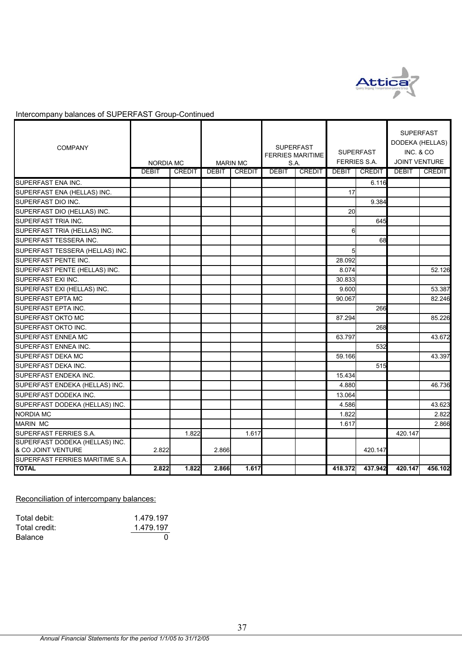

Intercompany balances of SUPERFAST Group-Continued

| <b>COMPANY</b>                                       | NORDIA MC<br><b>DEBIT</b> | <b>CREDIT</b> | <b>DEBIT</b> | <b>MARIN MC</b><br><b>CREDIT</b> | <b>DEBIT</b> | <b>SUPERFAST</b><br><b>FERRIES MARITIME</b><br>S.A.<br><b>CREDIT</b> | <b>DEBIT</b> | <b>SUPERFAST</b><br><b>FERRIES S.A.</b><br><b>CREDIT</b> | <b>SUPERFAST</b><br>DODEKA (HELLAS)<br>INC. & CO<br><b>JOINT VENTURE</b><br><b>DEBIT</b> | <b>CREDIT</b> |
|------------------------------------------------------|---------------------------|---------------|--------------|----------------------------------|--------------|----------------------------------------------------------------------|--------------|----------------------------------------------------------|------------------------------------------------------------------------------------------|---------------|
| SUPERFAST ENA INC.                                   |                           |               |              |                                  |              |                                                                      |              | 6.116                                                    |                                                                                          |               |
| SUPERFAST ENA (HELLAS) INC.                          |                           |               |              |                                  |              |                                                                      | 17           |                                                          |                                                                                          |               |
| SUPERFAST DIO INC.                                   |                           |               |              |                                  |              |                                                                      |              | 9.384                                                    |                                                                                          |               |
| SUPERFAST DIO (HELLAS) INC.                          |                           |               |              |                                  |              |                                                                      | 20           |                                                          |                                                                                          |               |
| SUPERFAST TRIA INC.                                  |                           |               |              |                                  |              |                                                                      |              | 645                                                      |                                                                                          |               |
| SUPERFAST TRIA (HELLAS) INC.                         |                           |               |              |                                  |              |                                                                      | 6            |                                                          |                                                                                          |               |
| SUPERFAST TESSERA INC.                               |                           |               |              |                                  |              |                                                                      |              | 68                                                       |                                                                                          |               |
| SUPERFAST TESSERA (HELLAS) INC.                      |                           |               |              |                                  |              |                                                                      | 5            |                                                          |                                                                                          |               |
| SUPERFAST PENTE INC.                                 |                           |               |              |                                  |              |                                                                      | 28.092       |                                                          |                                                                                          |               |
| SUPERFAST PENTE (HELLAS) INC.                        |                           |               |              |                                  |              |                                                                      | 8.074        |                                                          |                                                                                          | 52.126        |
| SUPERFAST EXI INC.                                   |                           |               |              |                                  |              |                                                                      | 30.833       |                                                          |                                                                                          |               |
| SUPERFAST EXI (HELLAS) INC.                          |                           |               |              |                                  |              |                                                                      | 9.600        |                                                          |                                                                                          | 53.387        |
| <b>SUPERFAST EPTA MC</b>                             |                           |               |              |                                  |              |                                                                      | 90.067       |                                                          |                                                                                          | 82.246        |
| SUPERFAST EPTA INC.                                  |                           |               |              |                                  |              |                                                                      |              | 266                                                      |                                                                                          |               |
| <b>SUPERFAST OKTO MC</b>                             |                           |               |              |                                  |              |                                                                      | 87.294       |                                                          |                                                                                          | 85.226        |
| SUPERFAST OKTO INC.                                  |                           |               |              |                                  |              |                                                                      |              | 268                                                      |                                                                                          |               |
| <b>SUPERFAST ENNEA MC</b>                            |                           |               |              |                                  |              |                                                                      | 63.797       |                                                          |                                                                                          | 43.672        |
| SUPERFAST ENNEA INC.                                 |                           |               |              |                                  |              |                                                                      |              | 532                                                      |                                                                                          |               |
| SUPERFAST DEKA MC                                    |                           |               |              |                                  |              |                                                                      | 59.166       |                                                          |                                                                                          | 43.397        |
| SUPERFAST DEKA INC.                                  |                           |               |              |                                  |              |                                                                      |              | 515                                                      |                                                                                          |               |
| SUPERFAST ENDEKA INC.                                |                           |               |              |                                  |              |                                                                      | 15.434       |                                                          |                                                                                          |               |
| SUPERFAST ENDEKA (HELLAS) INC.                       |                           |               |              |                                  |              |                                                                      | 4.880        |                                                          |                                                                                          | 46.736        |
| SUPERFAST DODEKA INC.                                |                           |               |              |                                  |              |                                                                      | 13.064       |                                                          |                                                                                          |               |
| SUPERFAST DODEKA (HELLAS) INC.                       |                           |               |              |                                  |              |                                                                      | 4.586        |                                                          |                                                                                          | 43.623        |
| <b>NORDIA MC</b>                                     |                           |               |              |                                  |              |                                                                      | 1.822        |                                                          |                                                                                          | 2.822         |
| <b>MARIN MC</b>                                      |                           |               |              |                                  |              |                                                                      | 1.617        |                                                          |                                                                                          | 2.866         |
| SUPERFAST FERRIES S.A.                               |                           | 1.822         |              | 1.617                            |              |                                                                      |              |                                                          | 420.147                                                                                  |               |
| SUPERFAST DODEKA (HELLAS) INC.<br>& CO JOINT VENTURE | 2.822                     |               | 2.866        |                                  |              |                                                                      |              | 420.147                                                  |                                                                                          |               |
| SUPERFAST FERRIES MARITIME S.A.                      |                           |               |              |                                  |              |                                                                      |              |                                                          |                                                                                          |               |
| <b>TOTAL</b>                                         | 2.822                     | 1.822         | 2.866        | 1.617                            |              |                                                                      | 418.372      | 437.942                                                  | 420.147                                                                                  | 456.102       |

Reconciliation of intercompany balances:

| Total debit:   | 1.479.197 |
|----------------|-----------|
| Total credit:  | 1.479.197 |
| <b>Balance</b> |           |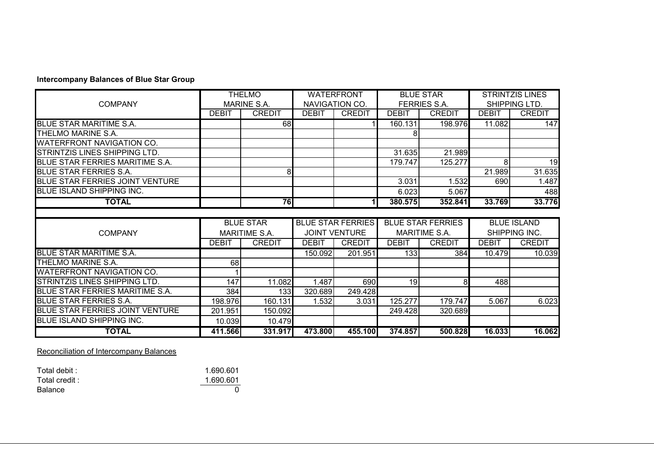### **Intercompany Balances of Blue Star Group**

|                                        |              | <b>THELMO</b>        |              | <b>WATERFRONT</b>        |              | <b>BLUE STAR</b>         |              | <b>STRINTZIS LINES</b> |
|----------------------------------------|--------------|----------------------|--------------|--------------------------|--------------|--------------------------|--------------|------------------------|
| <b>COMPANY</b>                         |              | MARINE S.A.          |              | NAVIGATION CO.           |              | <b>FERRIES S.A.</b>      |              | SHIPPING LTD.          |
|                                        | <b>DEBIT</b> | <b>CREDIT</b>        | <b>DEBIT</b> | <b>CREDIT</b>            | <b>DEBIT</b> | <b>CREDIT</b>            | <b>DEBIT</b> | <b>CREDIT</b>          |
| <b>BLUE STAR MARITIME S.A.</b>         |              | 68                   |              |                          | 160.131      | 198.976                  | 11.082       | 147                    |
| THELMO MARINE S.A.                     |              |                      |              |                          |              |                          |              |                        |
| <b>WATERFRONT NAVIGATION CO.</b>       |              |                      |              |                          |              |                          |              |                        |
| STRINTZIS LINES SHIPPING LTD.          |              |                      |              |                          | 31.635       | 21.989                   |              |                        |
| BLUE STAR FERRIES MARITIME S.A.        |              |                      |              |                          | 179.747      | 125.277                  | 8            | 19                     |
| <b>BLUE STAR FERRIES S.A.</b>          |              | 8 <sup>1</sup>       |              |                          |              |                          | 21.989       | 31.635                 |
| BLUE STAR FERRIES JOINT VENTURE        |              |                      |              |                          | 3.031        | 1.532                    | 690          | 1.487                  |
| <b>BLUE ISLAND SHIPPING INC.</b>       |              |                      |              |                          | 6.023        | 5.067                    |              | 488                    |
| <b>TOTAL</b>                           |              | 76                   |              | 11                       | 380.575      | 352.841                  | 33.769       | 33.776                 |
|                                        |              |                      |              |                          |              |                          |              |                        |
|                                        |              |                      |              |                          |              |                          |              |                        |
|                                        |              | <b>BLUE STAR</b>     |              | <b>BLUE STAR FERRIES</b> |              | <b>BLUE STAR FERRIES</b> |              | <b>BLUE ISLAND</b>     |
| <b>COMPANY</b>                         |              | <b>MARITIME S.A.</b> |              | <b>JOINT VENTURE</b>     |              | <b>MARITIME S.A.</b>     |              | SHIPPING INC.          |
|                                        | <b>DEBIT</b> | <b>CREDIT</b>        | <b>DEBIT</b> | <b>CREDIT</b>            | <b>DEBIT</b> | <b>CREDIT</b>            | <b>DEBIT</b> | <b>CREDIT</b>          |
| <b>BLUE STAR MARITIME S.A.</b>         |              |                      | 150.092      | 201.951                  | 133          | 384                      | 10.479       | 10.039                 |
| THELMO MARINE S.A.                     | 68           |                      |              |                          |              |                          |              |                        |
| <b>WATERFRONT NAVIGATION CO.</b>       |              |                      |              |                          |              |                          |              |                        |
| STRINTZIS LINES SHIPPING LTD.          | 147          | 11.082               | 1.487        | 690                      | 19           | 8                        | 488          |                        |
| BLUE STAR FERRIES MARITIME S.A.        | 384          | 133                  | 320.689      | 249.428                  |              |                          |              |                        |
| <b>BLUE STAR FERRIES S.A.</b>          | 198.976      | 160.131              | 1.532        | 3.031                    | 125.277      | 179.747                  | 5.067        | 6.023                  |
| <b>BLUE STAR FERRIES JOINT VENTURE</b> | 201.951      | 150.092              |              |                          | 249.428      | 320.689                  |              |                        |
| <b>BLUE ISLAND SHIPPING INC.</b>       | 10.039       | 10.479               |              |                          |              |                          |              |                        |

Reconciliation of Intercompany Balances

| Total debit :  | 1.690.601 |
|----------------|-----------|
| Total credit:  | 1.690.601 |
| <b>Balance</b> |           |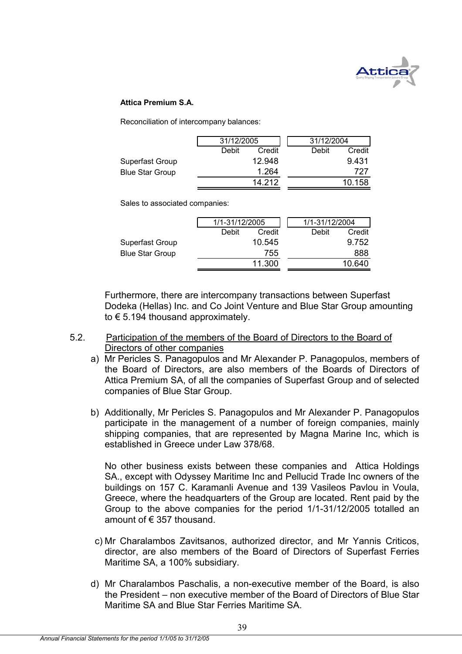

### **Attica Premium S.A.**

Reconciliation of intercompany balances:

|                        | 31/12/2005 |        | 31/12/2004 |        |
|------------------------|------------|--------|------------|--------|
|                        | Debit      | Credit | Debit      | Credit |
| Superfast Group        |            | 12.948 |            | 9.431  |
| <b>Blue Star Group</b> |            | 1.264  |            | 727    |
|                        |            | 14 212 |            | 10.158 |

Sales to associated companies:

|                        | 1/1-31/12/2005 |        | 1/1-31/12/2004 |        |
|------------------------|----------------|--------|----------------|--------|
|                        | Debit          | Credit | Debit          | Credit |
| Superfast Group        |                | 10.545 |                | 9.752  |
| <b>Blue Star Group</b> |                | 755    |                | 888    |
|                        |                | 11.300 |                | 10.640 |
|                        |                |        |                |        |

Furthermore, there are intercompany transactions between Superfast Dodeka (Hellas) Inc. and Co Joint Venture and Blue Star Group amounting to € 5.194 thousand approximately.

- 5.2. Participation of the members of the Board of Directors to the Board of Directors of other companies
	- a) Mr Pericles S. Panagopulos and Mr Alexander P. Panagopulos, members of the Board of Directors, are also members of the Boards of Directors of Attica Premium SA, of all the companies of Superfast Group and of selected companies of Blue Star Group.
	- b) Additionally, Mr Pericles S. Panagopulos and Mr Alexander P. Panagopulos participate in the management of a number of foreign companies, mainly shipping companies, that are represented by Magna Marine Inc, which is established in Greece under Law 378/68.

 No other business exists between these companies and Attica Holdings SA., except with Odyssey Maritime Inc and Pellucid Trade Inc owners of the buildings on 157 C. Karamanli Avenue and 139 Vasileos Pavlou in Voula, Greece, where the headquarters of the Group are located. Rent paid by the Group to the above companies for the period 1/1-31/12/2005 totalled an amount of € 357 thousand.

- c) Mr Charalambos Zavitsanos, authorized director, and Mr Yannis Criticos, director, are also members of the Board of Directors of Superfast Ferries Maritime SA, a 100% subsidiary.
- d) Mr Charalambos Paschalis, a non-executive member of the Board, is also the President – non executive member of the Board of Directors of Blue Star Maritime SA and Blue Star Ferries Maritime SA.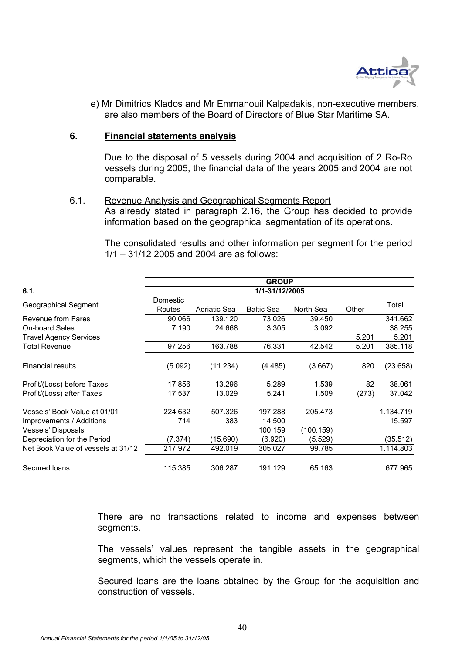

e) Mr Dimitrios Klados and Mr Emmanouil Kalpadakis, non-executive members, are also members of the Board of Directors of Blue Star Maritime SA.

### **6. Financial statements analysis**

Due to the disposal of 5 vessels during 2004 and acquisition of 2 Ro-Ro vessels during 2005, the financial data of the years 2005 and 2004 are not comparable.

### 6.1. Revenue Analysis and Geographical Segments Report

As already stated in paragraph 2.16, the Group has decided to provide information based on the geographical segmentation of its operations.

The consolidated results and other information per segment for the period 1/1 – 31/12 2005 and 2004 are as follows:

|                                    | <b>GROUP</b>              |              |                   |           |       |           |  |
|------------------------------------|---------------------------|--------------|-------------------|-----------|-------|-----------|--|
| 6.1.                               |                           |              | 1/1-31/12/2005    |           |       |           |  |
| Geographical Segment               | <b>Domestic</b><br>Routes | Adriatic Sea | <b>Baltic Sea</b> | North Sea | Other | Total     |  |
| Revenue from Fares                 | 90.066                    | 139.120      | 73.026            | 39.450    |       | 341.662   |  |
| <b>On-board Sales</b>              | 7.190                     | 24.668       | 3.305             | 3.092     |       | 38.255    |  |
| <b>Travel Agency Services</b>      |                           |              |                   |           | 5.201 | 5.201     |  |
| <b>Total Revenue</b>               | 97.256                    | 163.788      | 76.331            | 42.542    | 5.201 | 385.118   |  |
| <b>Financial results</b>           | (5.092)                   | (11.234)     | (4.485)           | (3.667)   | 820   | (23.658)  |  |
| Profit/(Loss) before Taxes         | 17.856                    | 13.296       | 5.289             | 1.539     | 82    | 38.061    |  |
| Profit/(Loss) after Taxes          | 17.537                    | 13.029       | 5.241             | 1.509     | (273) | 37.042    |  |
| Vessels' Book Value at 01/01       | 224.632                   | 507.326      | 197.288           | 205.473   |       | 1.134.719 |  |
| Improvements / Additions           | 714                       | 383          | 14.500            |           |       | 15.597    |  |
| Vessels' Disposals                 |                           |              | 100.159           | (100.159) |       |           |  |
| Depreciation for the Period        | (7.374)                   | (15.690)     | (6.920)           | (5.529)   |       | (35.512)  |  |
| Net Book Value of vessels at 31/12 | 217.972                   | 492.019      | 305.027           | 99.785    |       | 1.114.803 |  |
| Secured loans                      | 115.385                   | 306.287      | 191.129           | 65.163    |       | 677.965   |  |

There are no transactions related to income and expenses between segments.

The vessels' values represent the tangible assets in the geographical segments, which the vessels operate in.

Secured loans are the loans obtained by the Group for the acquisition and construction of vessels.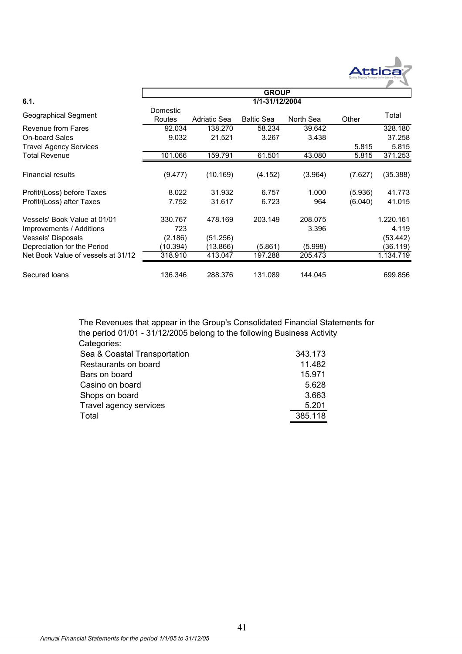

|                                             |                    |                   | <b>GROUP</b>      |                 |         |                   |  |
|---------------------------------------------|--------------------|-------------------|-------------------|-----------------|---------|-------------------|--|
| 6.1.                                        | 1/1-31/12/2004     |                   |                   |                 |         |                   |  |
| Geographical Segment                        | Domestic<br>Routes | Adriatic Sea      | <b>Baltic Sea</b> | North Sea       | Other   | Total             |  |
| Revenue from Fares<br><b>On-board Sales</b> | 92.034<br>9.032    | 138,270<br>21.521 | 58.234<br>3.267   | 39.642<br>3.438 |         | 328.180<br>37.258 |  |
| <b>Travel Agency Services</b>               |                    |                   |                   |                 | 5.815   | 5.815             |  |
| <b>Total Revenue</b>                        | 101.066            | 159.791           | 61.501            | 43.080          | 5.815   | 371.253           |  |
| <b>Financial results</b>                    | (9.477)            | (10.169)          | (4.152)           | (3.964)         | (7.627) | (35.388)          |  |
| Profit/(Loss) before Taxes                  | 8.022              | 31.932            | 6.757             | 1.000           | (5.936) | 41.773            |  |
| Profit/(Loss) after Taxes                   | 7.752              | 31.617            | 6.723             | 964             | (6.040) | 41.015            |  |
| Vessels' Book Value at 01/01                | 330.767            | 478.169           | 203.149           | 208.075         |         | 1.220.161         |  |
| Improvements / Additions                    | 723                |                   |                   | 3.396           |         | 4.119             |  |
| Vessels' Disposals                          | (2.186)            | (51.256)          |                   |                 |         | (53.442)          |  |
| Depreciation for the Period                 | (10.394)           | (13.866)          | (5.861)           | (5.998)         |         | (36.119)          |  |
| Net Book Value of vessels at 31/12          | 318.910            | 413.047           | 197.288           | 205.473         |         | 1.134.719         |  |
| Secured loans                               | 136.346            | 288.376           | 131.089           | 144.045         |         | 699.856           |  |

 $\Gamma$ 

343.173 The Revenues that appear in the Group's Consolidated Financial Statements for the period 01/01 - 31/12/2005 belong to the following Business Activity Categories: Sea & Coastal Transportation

| $\frac{1}{2}$          |         |
|------------------------|---------|
| Restaurants on board   | 11.482  |
| Bars on board          | 15.971  |
| Casino on board        | 5.628   |
| Shops on board         | 3.663   |
| Travel agency services | 5.201   |
| Total                  | 385.118 |
|                        |         |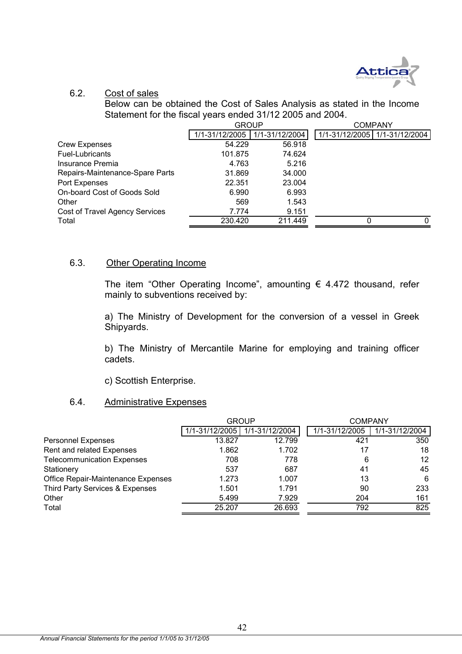

### 6.2. Cost of sales

Below can be obtained the Cost of Sales Analysis as stated in the Income Statement for the fiscal years ended 31/12 2005 and 2004.

|                                 | <b>GROUP</b>   |                |   | <b>COMPANY</b>                |
|---------------------------------|----------------|----------------|---|-------------------------------|
|                                 | 1/1-31/12/2005 | 1/1-31/12/2004 |   | 1/1-31/12/2005 1/1-31/12/2004 |
| <b>Crew Expenses</b>            | 54.229         | 56.918         |   |                               |
| Fuel-Lubricants                 | 101.875        | 74.624         |   |                               |
| Insurance Premia                | 4.763          | 5.216          |   |                               |
| Repairs-Maintenance-Spare Parts | 31.869         | 34.000         |   |                               |
| Port Expenses                   | 22.351         | 23.004         |   |                               |
| On-board Cost of Goods Sold     | 6.990          | 6.993          |   |                               |
| Other                           | 569            | 1.543          |   |                               |
| Cost of Travel Agency Services  | 7.774          | 9.151          |   |                               |
| Total                           | 230.420        | 211.449        | 0 | $\Omega$                      |

# 6.3. Other Operating Income

The item "Other Operating Income", amounting  $\epsilon$  4.472 thousand, refer mainly to subventions received by:

a) The Ministry of Development for the conversion of a vessel in Greek Shipyards.

b) The Ministry of Mercantile Marine for employing and training officer cadets.

c) Scottish Enterprise.

# 6.4. Administrative Expenses

|                                    |                | <b>GROUP</b>   | <b>COMPANY</b> |                |
|------------------------------------|----------------|----------------|----------------|----------------|
|                                    | 1/1-31/12/2005 | 1/1-31/12/2004 | 1/1-31/12/2005 | 1/1-31/12/2004 |
| <b>Personnel Expenses</b>          | 13.827         | 12.799         | 421            | 350            |
| Rent and related Expenses          | 1.862          | 1.702          | 17             | 18             |
| <b>Telecommunication Expenses</b>  | 708            | 778            | 6              | 12             |
| Stationery                         | 537            | 687            | 41             | 45             |
| Office Repair-Maintenance Expenses | 1.273          | 1.007          | 13             | 6              |
| Third Party Services & Expenses    | 1.501          | 1.791          | 90             | 233            |
| Other                              | 5.499          | 7.929          | 204            | 161            |
| Total                              | 25.207         | 26.693         | 792            | 825            |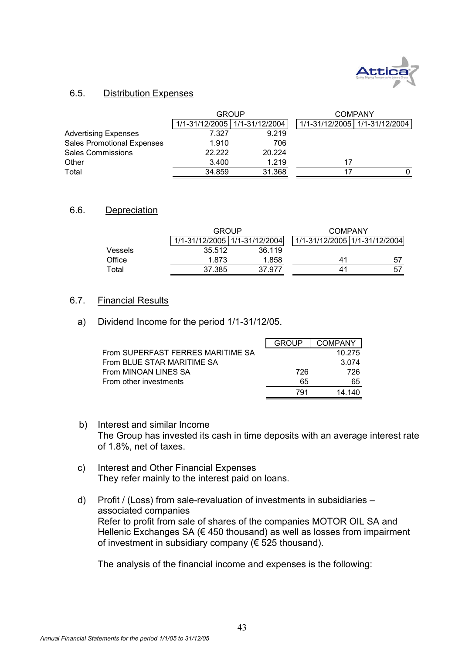

## 6.5. Distribution Expenses

|                                   |        | <b>GROUP</b>                    |    | <b>COMPANY</b>                |  |  |
|-----------------------------------|--------|---------------------------------|----|-------------------------------|--|--|
|                                   |        | 1/1-31/12/2005   1/1-31/12/2004 |    | 1/1-31/12/2005 1/1-31/12/2004 |  |  |
| <b>Advertising Expenses</b>       | 7.327  | 9.219                           |    |                               |  |  |
| <b>Sales Promotional Expenses</b> | 1.910  | 706                             |    |                               |  |  |
| <b>Sales Commissions</b>          | 22.222 | 20.224                          |    |                               |  |  |
| Other                             | 3.400  | 1.219                           | 17 |                               |  |  |
| Total                             | 34.859 | 31.368                          |    |                               |  |  |

### 6.6. Depreciation

|         | GROUP                         |        | COMPANY                       |     |  |  |
|---------|-------------------------------|--------|-------------------------------|-----|--|--|
|         | 1/1-31/12/2005 1/1-31/12/2004 |        | 1/1-31/12/2005 1/1-31/12/2004 |     |  |  |
| Vessels | 35.512                        | 36.119 |                               |     |  |  |
| Office  | 1.873                         | 1.858  | 41                            | 57  |  |  |
| Total   | 37.385                        | 37.977 | 41                            | -57 |  |  |

### 6.7. Financial Results

a) Dividend Income for the period 1/1-31/12/05.

|                                   | GROUP | <b>COMPANY</b> |
|-----------------------------------|-------|----------------|
| From SUPERFAST FERRES MARITIME SA |       | 10.275         |
| From BLUE STAR MARITIME SA        |       | 3.074          |
| From MINOAN LINES SA              | 726   | 726            |
| From other investments            | 65    | 65             |
|                                   | 791   | 14.140         |

- b) Interest and similar Income The Group has invested its cash in time deposits with an average interest rate of 1.8%, net of taxes.
- c) Interest and Other Financial Expenses They refer mainly to the interest paid on loans.
- d) Profit / (Loss) from sale-revaluation of investments in subsidiaries associated companies Refer to profit from sale of shares of the companies MOTOR OIL SA and Hellenic Exchanges SA ( $\epsilon$  450 thousand) as well as losses from impairment of investment in subsidiary company ( $\epsilon$  525 thousand).

The analysis of the financial income and expenses is the following: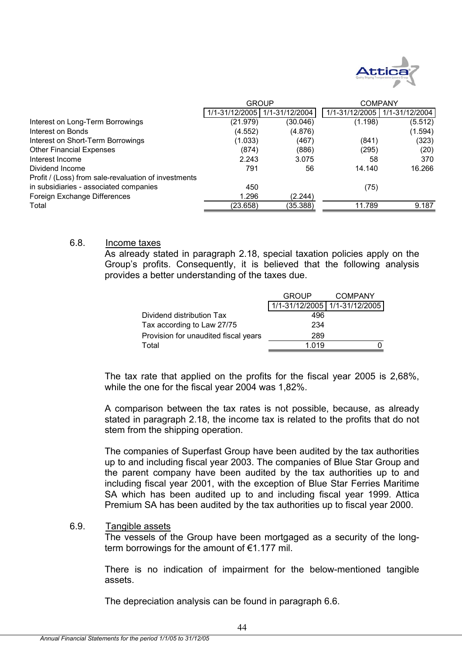

|                                                      | <b>GROUP</b> |                                 | <b>COMPANY</b> |                |
|------------------------------------------------------|--------------|---------------------------------|----------------|----------------|
|                                                      |              | 1/1-31/12/2005   1/1-31/12/2004 | 1/1-31/12/2005 | 1/1-31/12/2004 |
| Interest on Long-Term Borrowings                     | (21.979)     | (30.046)                        | (1.198)        | (5.512)        |
| Interest on Bonds                                    | (4.552)      | (4.876)                         |                | (1.594)        |
| Interest on Short-Term Borrowings                    | (1.033)      | (467)                           | (841)          | (323)          |
| <b>Other Financial Expenses</b>                      | (874)        | (886)                           | (295)          | (20)           |
| Interest Income                                      | 2.243        | 3.075                           | 58             | 370            |
| Dividend Income                                      | 791          | 56                              | 14.140         | 16.266         |
| Profit / (Loss) from sale-revaluation of investments |              |                                 |                |                |
| in subsidiaries - associated companies               | 450          |                                 | (75)           |                |
| Foreign Exchange Differences                         | 1.296        | (2.244)                         |                |                |
| Total                                                | (23.658)     | (35.388)                        | 11.789         | 9.187          |

### 6.8. Income taxes

As already stated in paragraph 2.18, special taxation policies apply on the Group's profits. Consequently, it is believed that the following analysis provides a better understanding of the taxes due.

|                                      | <b>GROUP</b>                    | <b>COMPANY</b> |
|--------------------------------------|---------------------------------|----------------|
|                                      | 1/1-31/12/2005   1/1-31/12/2005 |                |
| Dividend distribution Tax            | 496                             |                |
| Tax according to Law 27/75           | 234                             |                |
| Provision for unaudited fiscal years | 289                             |                |
| Total                                | 1 0 1 9                         |                |

The tax rate that applied on the profits for the fiscal year 2005 is 2,68%, while the one for the fiscal year 2004 was 1,82%.

A comparison between the tax rates is not possible, because, as already stated in paragraph 2.18, the income tax is related to the profits that do not stem from the shipping operation.

The companies of Superfast Group have been audited by the tax authorities up to and including fiscal year 2003. The companies of Blue Star Group and the parent company have been audited by the tax authorities up to and including fiscal year 2001, with the exception of Blue Star Ferries Maritime SA which has been audited up to and including fiscal year 1999. Attica Premium SA has been audited by the tax authorities up to fiscal year 2000.

### 6.9. Tangible assets

The vessels of the Group have been mortgaged as a security of the longterm borrowings for the amount of €1.177 mil.

There is no indication of impairment for the below-mentioned tangible assets.

The depreciation analysis can be found in paragraph 6.6.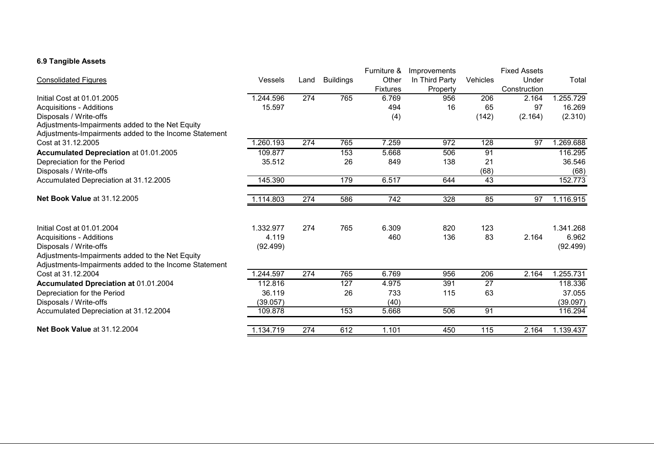### **6.9 Tangible Assets**

|                                                       |                |      |                  | Furniture &      | Improvements   |          | <b>Fixed Assets</b> |           |
|-------------------------------------------------------|----------------|------|------------------|------------------|----------------|----------|---------------------|-----------|
| <b>Consolidated Figures</b>                           | <b>Vessels</b> | Land | <b>Buildings</b> | Other            | In Third Party | Vehicles | Under               | Total     |
|                                                       |                |      |                  | Fixtures         | Property       |          | Construction        |           |
| Initial Cost at 01.01.2005                            | 1.244.596      | 274  | 765              | 6.769            | 956            | 206      | 2.164               | 1.255.729 |
| <b>Acquisitions - Additions</b>                       | 15.597         |      |                  | 494              | 16             | 65       | 97                  | 16.269    |
| Disposals / Write-offs                                |                |      |                  | (4)              |                | (142)    | (2.164)             | (2.310)   |
| Adjustments-Impairments added to the Net Equity       |                |      |                  |                  |                |          |                     |           |
| Adjustments-Impairments added to the Income Statement |                |      |                  |                  |                |          |                     |           |
| Cost at 31.12.2005                                    | .260.193       | 274  | 765              | 7.259            | 972            | 128      | 97                  | 1.269.688 |
| Accumulated Depreciation at 01.01.2005                | 109.877        |      | 153              | 5.668            | 506            | 91       |                     | 116.295   |
| Depreciation for the Period                           | 35.512         |      | 26               | 849              | 138            | 21       |                     | 36.546    |
| Disposals / Write-offs                                |                |      |                  |                  |                | (68)     |                     | (68)      |
| Accumulated Depreciation at 31.12.2005                | 145.390        |      | 179              | 6.517            | 644            | 43       |                     | 152.773   |
|                                                       |                |      |                  |                  |                |          |                     |           |
| <b>Net Book Value at 31.12.2005</b>                   | 1.114.803      | 274  | 586              | $\overline{742}$ | 328            | 85       | 97                  | 1.116.915 |
|                                                       |                |      |                  |                  |                |          |                     |           |
| Initial Cost at 01.01.2004                            | 1.332.977      | 274  | 765              | 6.309            | 820            | 123      |                     | 1.341.268 |
| <b>Acquisitions - Additions</b>                       | 4.119          |      |                  | 460              | 136            | 83       | 2.164               | 6.962     |
| Disposals / Write-offs                                | (92.499)       |      |                  |                  |                |          |                     | (92.499)  |
| Adjustments-Impairments added to the Net Equity       |                |      |                  |                  |                |          |                     |           |
| Adjustments-Impairments added to the Income Statement |                |      |                  |                  |                |          |                     |           |
| Cost at 31.12.2004                                    | 1.244.597      | 274  | 765              | 6.769            | 956            | 206      | 2.164               | 1.255.731 |
| Accumulated Dpreciation at 01.01.2004                 | 112.816        |      | 127              | 4.975            | 391            | 27       |                     | 118.336   |
| Depreciation for the Period                           | 36.119         |      | 26               | 733              | 115            | 63       |                     | 37.055    |
| Disposals / Write-offs                                | (39.057)       |      |                  | (40)             |                |          |                     | (39.097)  |
| Accumulated Depreciation at 31.12.2004                | 109.878        |      | 153              | 5.668            | 506            | 91       |                     | 116.294   |
| <b>Net Book Value at 31.12.2004</b>                   | 1.134.719      | 274  | 612              | 1.101            | 450            | 115      | 2.164               | 1.139.437 |
|                                                       |                |      |                  |                  |                |          |                     |           |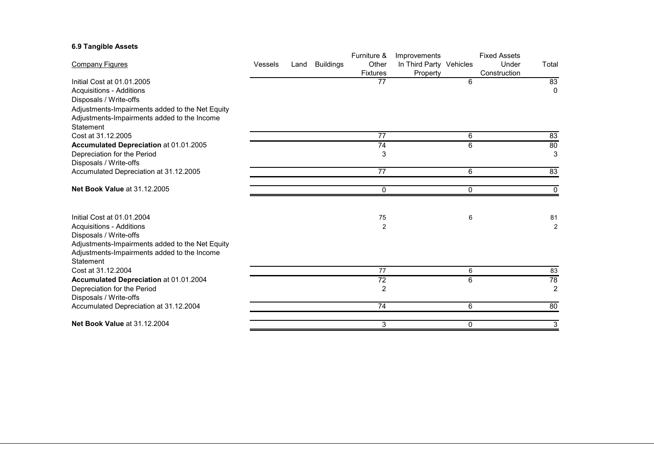### **6.9 Tangible Assets**

|                                                 |                |      |                  | Furniture &     | Improvements            |          | <b>Fixed Assets</b> |                |
|-------------------------------------------------|----------------|------|------------------|-----------------|-------------------------|----------|---------------------|----------------|
| <b>Company Figures</b>                          | <b>Vessels</b> | Land | <b>Buildings</b> | Other           | In Third Party Vehicles |          | Under               | Total          |
|                                                 |                |      |                  | <b>Fixtures</b> | Property                |          | Construction        |                |
| Initial Cost at 01.01.2005                      |                |      |                  | 77              |                         | 6        |                     | 83             |
| Acquisitions - Additions                        |                |      |                  |                 |                         |          |                     | $\mathbf{0}$   |
| Disposals / Write-offs                          |                |      |                  |                 |                         |          |                     |                |
| Adjustments-Impairments added to the Net Equity |                |      |                  |                 |                         |          |                     |                |
| Adjustments-Impairments added to the Income     |                |      |                  |                 |                         |          |                     |                |
| Statement                                       |                |      |                  |                 |                         |          |                     |                |
| Cost at 31.12.2005                              |                |      |                  | 77              |                         | 6        |                     | 83             |
| Accumulated Depreciation at 01.01.2005          |                |      |                  | 74              |                         | 6        |                     | 80             |
| Depreciation for the Period                     |                |      |                  | 3               |                         |          |                     | 3              |
| Disposals / Write-offs                          |                |      |                  |                 |                         |          |                     |                |
| Accumulated Depreciation at 31.12.2005          |                |      |                  | $\overline{77}$ |                         | 6        |                     | 83             |
|                                                 |                |      |                  |                 |                         |          |                     |                |
| Net Book Value at 31.12.2005                    |                |      |                  | 0               |                         | $\Omega$ |                     | 0              |
|                                                 |                |      |                  |                 |                         |          |                     |                |
| Initial Cost at 01.01.2004                      |                |      |                  | 75              |                         | 6        |                     | 81             |
| <b>Acquisitions - Additions</b>                 |                |      |                  | $\overline{2}$  |                         |          |                     | $\overline{2}$ |
| Disposals / Write-offs                          |                |      |                  |                 |                         |          |                     |                |
| Adjustments-Impairments added to the Net Equity |                |      |                  |                 |                         |          |                     |                |
| Adjustments-Impairments added to the Income     |                |      |                  |                 |                         |          |                     |                |
| Statement                                       |                |      |                  |                 |                         |          |                     |                |
| Cost at 31.12.2004                              |                |      |                  | 77              |                         | 6        |                     | 83             |
| Accumulated Depreciation at 01.01.2004          |                |      |                  | 72              |                         | 6        |                     | 78             |
| Depreciation for the Period                     |                |      |                  | $\overline{2}$  |                         |          |                     | $\overline{2}$ |
| Disposals / Write-offs                          |                |      |                  |                 |                         |          |                     |                |
| Accumulated Depreciation at 31.12.2004          |                |      |                  | 74              |                         | 6        |                     | 80             |
| <b>Net Book Value at 31.12.2004</b>             |                |      |                  | 3               |                         | 0        |                     | 3              |
|                                                 |                |      |                  |                 |                         |          |                     |                |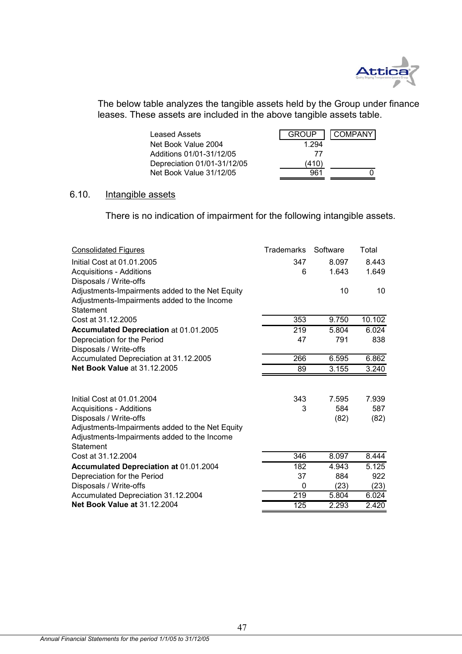

The below table analyzes the tangible assets held by the Group under finance leases. These assets are included in the above tangible assets table.

| Leased Assets               | <b>GROUP</b> | <b>COMPANY</b> |
|-----------------------------|--------------|----------------|
| Net Book Value 2004         | 1.294        |                |
| Additions 01/01-31/12/05    | 77           |                |
| Depreciation 01/01-31/12/05 | (410)        |                |
| Net Book Value 31/12/05     | 961          |                |

# 6.10. Intangible assets

There is no indication of impairment for the following intangible assets.

| <b>Consolidated Figures</b>                                                   | <b>Trademarks</b> | Software | Total  |
|-------------------------------------------------------------------------------|-------------------|----------|--------|
| Initial Cost at 01.01.2005                                                    | 347               | 8.097    | 8.443  |
| <b>Acquisitions - Additions</b>                                               | 6                 | 1.643    | 1.649  |
| Disposals / Write-offs                                                        |                   |          |        |
| Adjustments-Impairments added to the Net Equity                               |                   | 10       | 10     |
| Adjustments-Impairments added to the Income                                   |                   |          |        |
| Statement                                                                     |                   |          |        |
| Cost at 31.12.2005                                                            | 353               | 9.750    | 10.102 |
| Accumulated Depreciation at 01.01.2005                                        | 219               | 5.804    | 6.024  |
| Depreciation for the Period                                                   | 47                | 791      | 838    |
| Disposals / Write-offs                                                        |                   |          |        |
| Accumulated Depreciation at 31.12.2005<br><b>Net Book Value at 31.12.2005</b> | 266               | 6.595    | 6.862  |
|                                                                               | 89                | 3.155    | 3.240  |
|                                                                               |                   |          |        |
| Initial Cost at 01.01.2004                                                    | 343               | 7.595    | 7.939  |
| <b>Acquisitions - Additions</b>                                               | 3                 | 584      | 587    |
| Disposals / Write-offs                                                        |                   | (82)     | (82)   |
| Adjustments-Impairments added to the Net Equity                               |                   |          |        |
| Adjustments-Impairments added to the Income                                   |                   |          |        |
| <b>Statement</b>                                                              |                   |          |        |
| Cost at 31.12.2004                                                            | 346               | 8.097    | 8.444  |
| Accumulated Depreciation at 01.01.2004                                        | 182               | 4.943    | 5.125  |
| Depreciation for the Period                                                   | 37                | 884      | 922    |
| Disposals / Write-offs                                                        | 0                 | (23)     | (23)   |
| Accumulated Depreciation 31.12.2004                                           | $\overline{219}$  | 5.804    | 6.024  |
| <b>Net Book Value at 31.12.2004</b>                                           | 125               | 2.293    | 2.420  |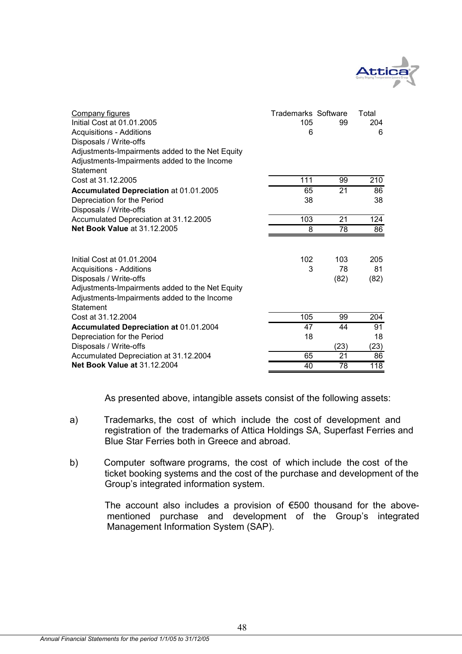

| <b>Company figures</b><br>Initial Cost at 01.01.2005<br><b>Acquisitions - Additions</b><br>Disposals / Write-offs<br>Adjustments-Impairments added to the Net Equity<br>Adjustments-Impairments added to the Income | <b>Trademarks Software</b><br>105<br>6 | 99                | Total<br>204<br>6 |
|---------------------------------------------------------------------------------------------------------------------------------------------------------------------------------------------------------------------|----------------------------------------|-------------------|-------------------|
| Statement<br>Cost at 31.12.2005                                                                                                                                                                                     | 111                                    | 99                | 210               |
| Accumulated Depreciation at 01.01.2005                                                                                                                                                                              | 65                                     | $\overline{21}$   | 86                |
| Depreciation for the Period                                                                                                                                                                                         | 38                                     |                   | 38                |
| Disposals / Write-offs                                                                                                                                                                                              |                                        |                   |                   |
| Accumulated Depreciation at 31.12.2005                                                                                                                                                                              | 103                                    | 21                | $\overline{124}$  |
| <b>Net Book Value at 31.12.2005</b>                                                                                                                                                                                 | 8                                      | 78                | 86                |
| Initial Cost at 01.01.2004<br><b>Acquisitions - Additions</b><br>Disposals / Write-offs<br>Adjustments-Impairments added to the Net Equity<br>Adjustments-Impairments added to the Income<br>Statement              | 102<br>3                               | 103<br>78<br>(82) | 205<br>81<br>(82) |
| Cost at 31.12.2004                                                                                                                                                                                                  | 105                                    | 99                | 204               |
| Accumulated Depreciation at 01.01.2004                                                                                                                                                                              | 47                                     | 44                | 91                |
| Depreciation for the Period                                                                                                                                                                                         | 18                                     |                   | 18                |
| Disposals / Write-offs                                                                                                                                                                                              |                                        | (23)              | (23)              |
| Accumulated Depreciation at 31.12.2004<br><b>Net Book Value at 31.12.2004</b>                                                                                                                                       | 65<br>40                               | 21<br>78          | 86<br>118         |
|                                                                                                                                                                                                                     |                                        |                   |                   |

As presented above, intangible assets consist of the following assets:

- a) Trademarks, the cost of which include the cost of development and registration of the trademarks of Attica Holdings SA, Superfast Ferries and Blue Star Ferries both in Greece and abroad.
- b) Computer software programs, the cost of which include the cost of the ticket booking systems and the cost of the purchase and development of the Group's integrated information system.

The account also includes a provision of €500 thousand for the abovementioned purchase and development of the Group's integrated Management Information System (SAP).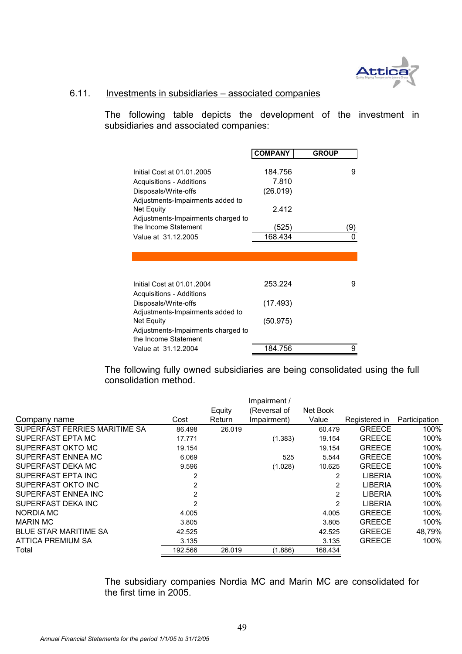

# 6.11. Investments in subsidiaries – associated companies

The following table depicts the development of the investment in subsidiaries and associated companies:

|                                                                                      | <b>COMPANY</b>               | <b>GROUP</b> |
|--------------------------------------------------------------------------------------|------------------------------|--------------|
| Initial Cost at 01.01.2005<br>Acquisitions - Additions<br>Disposals/Write-offs       | 184.756<br>7.810<br>(26.019) | 9            |
| Adjustments-Impairments added to<br>Net Equity<br>Adjustments-Impairments charged to | 2.412                        |              |
| the Income Statement                                                                 | (525)                        | (9           |
| Value at 31.12.2005                                                                  | 168.434                      |              |
|                                                                                      |                              |              |
| Initial Cost at 01.01.2004<br>Acquisitions - Additions                               | 253.224                      | 9            |
| Disposals/Write-offs<br>Adjustments-Impairments added to                             | (17.493)                     |              |
| Net Equity<br>Adjustments-Impairments charged to<br>the Income Statement             | (50.975)                     |              |
| Value at 31.12.2004                                                                  | 184.756                      | 9            |

The following fully owned subsidiaries are being consolidated using the full consolidation method.

|                               |                |        | Impairment / |                |                |               |
|-------------------------------|----------------|--------|--------------|----------------|----------------|---------------|
|                               |                | Equity | (Reversal of | Net Book       |                |               |
| Company name                  | Cost           | Return | Impairment)  | Value          | Registered in  | Participation |
| SUPERFAST FERRIES MARITIME SA | 86.498         | 26.019 |              | 60.479         | <b>GREECE</b>  | 100%          |
| SUPERFAST EPTA MC             | 17.771         |        | (1.383)      | 19.154         | <b>GREECE</b>  | 100%          |
| SUPERFAST OKTO MC             | 19.154         |        |              | 19.154         | <b>GREECE</b>  | 100%          |
| SUPERFAST ENNEA MC            | 6.069          |        | 525          | 5.544          | <b>GREECE</b>  | 100%          |
| SUPERFAST DEKA MC             | 9.596          |        | (1.028)      | 10.625         | <b>GREECE</b>  | 100%          |
| SUPERFAST EPTA INC            | $\overline{2}$ |        |              | $\overline{2}$ | <b>LIBERIA</b> | 100%          |
| SUPERFAST OKTO INC            | $\overline{2}$ |        |              | 2              | <b>LIBERIA</b> | 100%          |
| SUPERFAST ENNEA INC           | 2              |        |              | 2              | <b>LIBERIA</b> | 100%          |
| SUPERFAST DEKA INC            | 2              |        |              | 2              | <b>LIBERIA</b> | 100%          |
| NORDIA MC                     | 4.005          |        |              | 4.005          | <b>GREECE</b>  | 100%          |
| <b>MARIN MC</b>               | 3.805          |        |              | 3.805          | <b>GREECE</b>  | 100%          |
| <b>BLUE STAR MARITIME SA</b>  | 42.525         |        |              | 42.525         | <b>GREECE</b>  | 48,79%        |
| <b>ATTICA PREMIUM SA</b>      | 3.135          |        |              | 3.135          | <b>GREECE</b>  | 100%          |
| Total                         | 192.566        | 26.019 | (1.886)      | 168.434        |                |               |

The subsidiary companies Nordia MC and Marin MC are consolidated for the first time in 2005.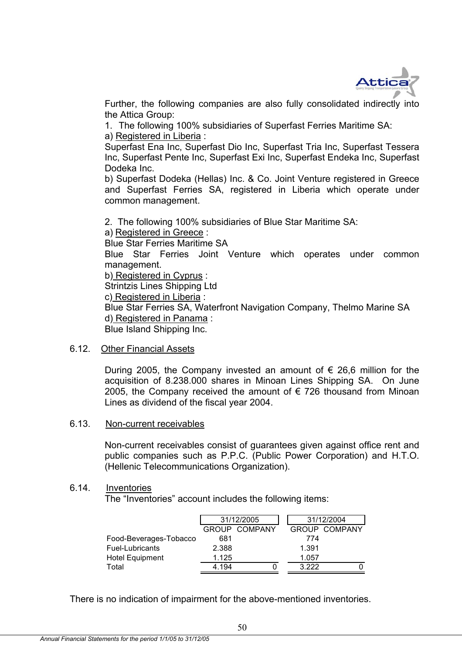

Further, the following companies are also fully consolidated indirectly into the Attica Group:

1. The following 100% subsidiaries of Superfast Ferries Maritime SA: a) Registered in Liberia :

Superfast Ena Inc, Superfast Dio Inc, Superfast Tria Inc, Superfast Tessera Inc, Superfast Pente Inc, Superfast Exi Inc, Superfast Endeka Inc, Superfast Dodeka Inc.

b) Superfast Dodeka (Hellas) Inc. & Co. Joint Venture registered in Greece and Superfast Ferries SA, registered in Liberia which operate under common management.

2. The following 100% subsidiaries of Blue Star Maritime SA: a) Registered in Greece :

Blue Star Ferries Maritime SA

Blue Star Ferries Joint Venture which operates under common management.

b) Registered in Cyprus :

Strintzis Lines Shipping Ltd

c) Registered in Liberia :

Blue Star Ferries SA, Waterfront Navigation Company, Thelmo Marine SA d) Registered in Panama :

Blue Island Shipping Inc.

### 6.12. Other Financial Assets

During 2005, the Company invested an amount of  $\epsilon$  26.6 million for the acquisition of 8.238.000 shares in Minoan Lines Shipping SA. On June 2005, the Company received the amount of € 726 thousand from Minoan Lines as dividend of the fiscal year 2004.

### 6.13. Non-current receivables

Non-current receivables consist of guarantees given against office rent and public companies such as P.P.C. (Public Power Corporation) and H.T.O. (Hellenic Telecommunications Organization).

### 6.14. Inventories

The "Inventories" account includes the following items:

|                        | 31/12/2005 |               |       | 31/12/2004           |
|------------------------|------------|---------------|-------|----------------------|
|                        |            | GROUP COMPANY |       | <b>GROUP COMPANY</b> |
| Food-Beverages-Tobacco | 681        |               | 774   |                      |
| Fuel-Lubricants        | 2.388      |               | 1.391 |                      |
| <b>Hotel Equipment</b> | 1.125      |               | 1.057 |                      |
| Total                  | 4.194      |               | 3.222 |                      |

There is no indication of impairment for the above-mentioned inventories.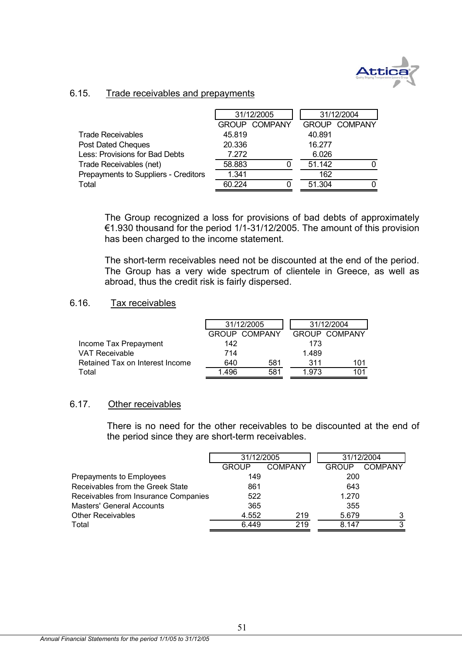

# 6.15. Trade receivables and prepayments

|                                      |        | 31/12/2005           |        | 31/12/2004           |  |
|--------------------------------------|--------|----------------------|--------|----------------------|--|
|                                      |        | <b>GROUP COMPANY</b> |        | <b>GROUP COMPANY</b> |  |
| <b>Trade Receivables</b>             | 45.819 |                      | 40.891 |                      |  |
| Post Dated Cheques                   | 20.336 |                      | 16.277 |                      |  |
| Less: Provisions for Bad Debts       | 7.272  |                      | 6.026  |                      |  |
| Trade Receivables (net)              | 58.883 |                      | 51.142 |                      |  |
| Prepayments to Suppliers - Creditors | 1.341  |                      | 162    |                      |  |
| Total                                | 60.224 |                      | 51.304 |                      |  |

The Group recognized a loss for provisions of bad debts of approximately €1.930 thousand for the period 1/1-31/12/2005. The amount of this provision has been charged to the income statement.

The short-term receivables need not be discounted at the end of the period. The Group has a very wide spectrum of clientele in Greece, as well as abroad, thus the credit risk is fairly dispersed.

## 6.16. Tax receivables

|                                 |      | 31/12/2005           |       | 31/12/2004           |
|---------------------------------|------|----------------------|-------|----------------------|
|                                 |      | <b>GROUP COMPANY</b> |       | <b>GROUP COMPANY</b> |
| Income Tax Prepayment           | 142  |                      | 173   |                      |
| <b>VAT Receivable</b>           | 714  |                      | 1.489 |                      |
| Retained Tax on Interest Income | 640  | 581                  | 311   | 101                  |
| Total                           | 1496 | 581                  | 1.973 | 101                  |

### 6.17. Other receivables

There is no need for the other receivables to be discounted at the end of the period since they are short-term receivables.

|                                      | 31/12/2005   |         | 31/12/2004   |         |
|--------------------------------------|--------------|---------|--------------|---------|
|                                      | <b>GROUP</b> | COMPANY | <b>GROUP</b> | COMPANY |
| Prepayments to Employees             | 149          |         | 200          |         |
| Receivables from the Greek State     | 861          |         | 643          |         |
| Receivables from Insurance Companies | 522          |         | 1.270        |         |
| <b>Masters' General Accounts</b>     | 365          |         | 355          |         |
| <b>Other Receivables</b>             | 4.552        | 219     | 5.679        |         |
| Total                                | 6.449        | 219     | 8.147        | 3       |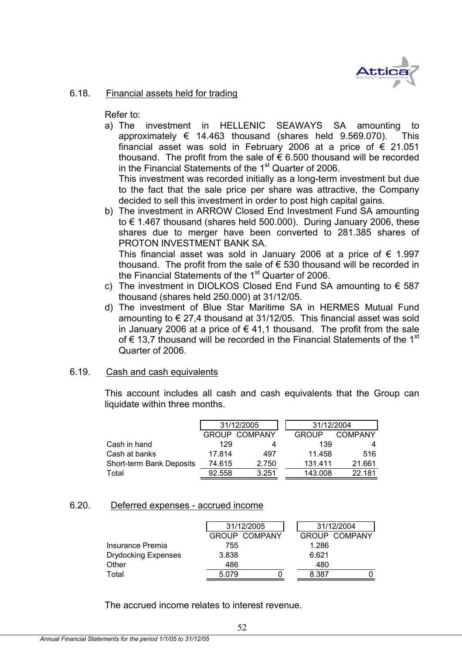

# 6.18. Financial assets held for trading

Refer to:

a) The investment in HELLENIC SEAWAYS SA amounting to approximately € 14.463 thousand (shares held 9.569.070). This financial asset was sold in February 2006 at a price of  $\epsilon$  21.051 thousand. The profit from the sale of  $\epsilon$  6.500 thousand will be recorded in the Financial Statements of the  $1<sup>st</sup>$  Quarter of 2006.

This investment was recorded initially as a long-term investment but due to the fact that the sale price per share was attractive, the Company decided to sell this investment in order to post high capital gains.

b) The investment in ARROW Closed End Investment Fund SA amounting to € 1.467 thousand (shares held 500.000). During January 2006, these shares due to merger have been converted to 281.385 shares of PROTON INVESTMENT BANK SA. This financial asset was sold in January 2006 at a price of  $\epsilon$  1.997

thousand. The profit from the sale of  $\epsilon$  530 thousand will be recorded in the Financial Statements of the 1<sup>st</sup> Quarter of 2006.

- c) The investment in DIOLKOS Closed End Fund SA amounting to  $\epsilon$  587 thousand (shares held 250.000) at 31/12/05.
- d) The investment of Blue Star Maritime SA in HERMES Mutual Fund amounting to  $\epsilon$  27,4 thousand at 31/12/05. This financial asset was sold in January 2006 at a price of  $\epsilon$  41.1 thousand. The profit from the sale of € 13.7 thousand will be recorded in the Financial Statements of the 1<sup>st</sup> Quarter of 2006.

# 6.19. Cash and cash equivalents

This account includes all cash and cash equivalents that the Group can liquidate within three months.

|                          | 31/12/2005           |       | 31/12/2004 |         |  |
|--------------------------|----------------------|-------|------------|---------|--|
|                          | <b>GROUP COMPANY</b> |       | GROUP      | COMPANY |  |
| Cash in hand             | 129                  | 4     | 139        |         |  |
| Cash at banks            | 17.814               | 497   | 11.458     | 516     |  |
| Short-term Bank Deposits | 74.615               | 2.750 | 131.411    | 21.661  |  |
| Total                    | 92.558               | 3.251 | 143.008    | 22.181  |  |

# 6.20. Deferred expenses - accrued income

|                            |       | 31/12/2005           |  |       | 31/12/2004           |
|----------------------------|-------|----------------------|--|-------|----------------------|
|                            |       | <b>GROUP COMPANY</b> |  |       | <b>GROUP COMPANY</b> |
| Insurance Premia           | 755   |                      |  | 1.286 |                      |
| <b>Drydocking Expenses</b> | 3.838 |                      |  | 6.621 |                      |
| Other                      | 486   |                      |  | 480   |                      |
| Total                      | 5.079 |                      |  | 8.387 |                      |

The accrued income relates to interest revenue.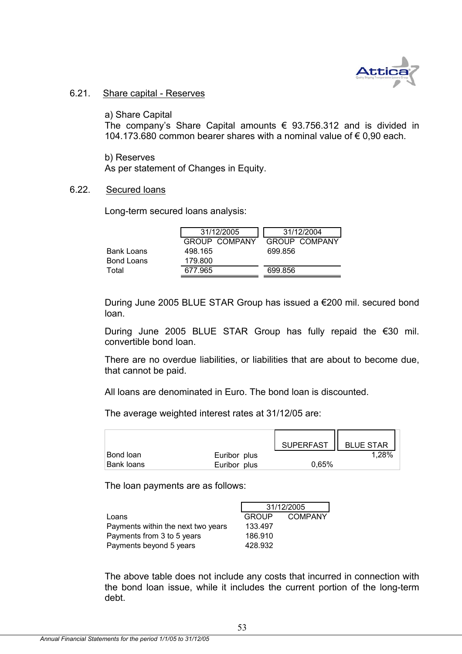

### 6.21. Share capital - Reserves

a) Share Capital

The company's Share Capital amounts  $\epsilon$  93.756.312 and is divided in 104.173.680 common bearer shares with a nominal value of € 0,90 each.

b) Reserves As per statement of Changes in Equity.

### 6.22. Secured loans

Long-term secured loans analysis:

|                   | 31/12/2005           | 31/12/2004    |
|-------------------|----------------------|---------------|
|                   | <b>GROUP COMPANY</b> | GROUP COMPANY |
| <b>Bank Loans</b> | 498.165              | 699.856       |
| <b>Bond Loans</b> | 179.800              |               |
| Total             | 677.965              | 699.856       |

During June 2005 BLUE STAR Group has issued a €200 mil. secured bond loan.

During June 2005 BLUE STAR Group has fully repaid the €30 mil. convertible bond loan.

There are no overdue liabilities, or liabilities that are about to become due, that cannot be paid.

All loans are denominated in Euro. The bond loan is discounted.

The average weighted interest rates at 31/12/05 are:

|                   |              | SUPERFAST | <b>BLUE STAR</b> |
|-------------------|--------------|-----------|------------------|
| <b>Bond loan</b>  | Euribor plus |           | 1,28%            |
| <b>Bank loans</b> | Euribor plus | 0.65%     |                  |
|                   |              |           |                  |

The loan payments are as follows:

|                                    | 31/12/2005   |                |  |
|------------------------------------|--------------|----------------|--|
| Loans                              | <b>GROUP</b> | <b>COMPANY</b> |  |
| Payments within the next two years | 133.497      |                |  |
| Payments from 3 to 5 years         | 186.910      |                |  |
| Payments beyond 5 years            | 428.932      |                |  |

The above table does not include any costs that incurred in connection with the bond loan issue, while it includes the current portion of the long-term debt.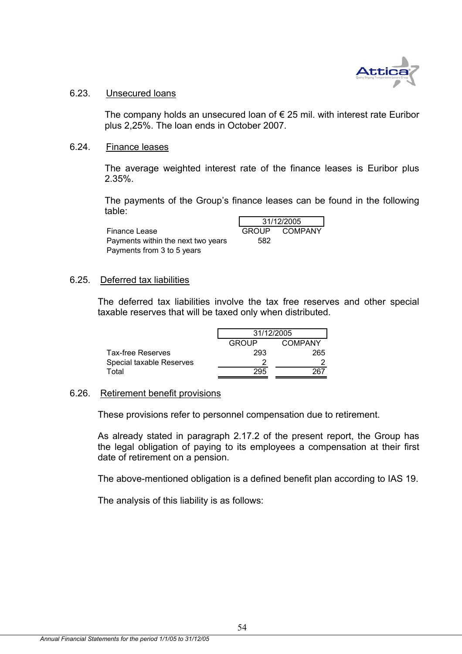

### 6.23. Unsecured loans

The company holds an unsecured loan of  $\epsilon$  25 mil. with interest rate Euribor plus 2,25%. The loan ends in October 2007.

### 6.24. Finance leases

The average weighted interest rate of the finance leases is Euribor plus 2.35%.

The payments of the Group's finance leases can be found in the following table:

Finance Lease Payments within the next two years Payments from 3 to 5 years

| 31/12/2005 |         |  |  |  |
|------------|---------|--|--|--|
| GROUP      | COMPANY |  |  |  |
| 582        |         |  |  |  |

### 6.25. Deferred tax liabilities

The deferred tax liabilities involve the tax free reserves and other special taxable reserves that will be taxed only when distributed.

|                          | 31/12/2005 |         |  |
|--------------------------|------------|---------|--|
|                          | GROUP      | COMPANY |  |
| <b>Tax-free Reserves</b> | 293        | 265     |  |
| Special taxable Reserves |            |         |  |
| Total                    | 295        |         |  |

### 6.26. Retirement benefit provisions

These provisions refer to personnel compensation due to retirement.

As already stated in paragraph 2.17.2 of the present report, the Group has the legal obligation of paying to its employees a compensation at their first date of retirement on a pension.

The above-mentioned obligation is a defined benefit plan according to IAS 19.

The analysis of this liability is as follows: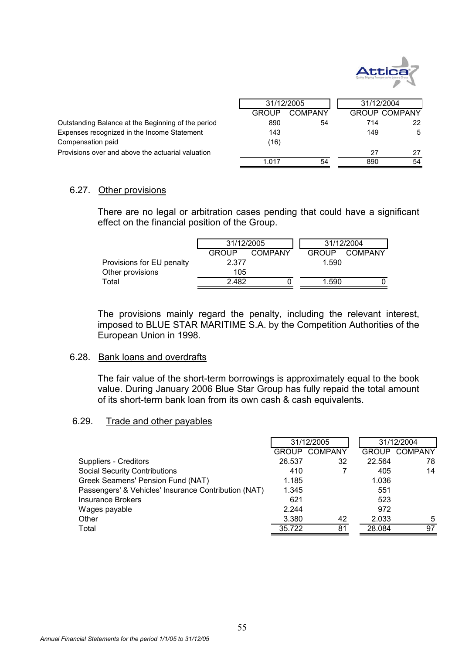

|                                                    | 31/12/2005   |         |     | 31/12/2004           |
|----------------------------------------------------|--------------|---------|-----|----------------------|
|                                                    | <b>GROUP</b> | COMPANY |     | <b>GROUP COMPANY</b> |
| Outstanding Balance at the Beginning of the period | 890          | 54      | 714 | 22                   |
| Expenses recognized in the Income Statement        | 143          |         | 149 | 5                    |
| Compensation paid                                  | (16)         |         |     |                      |
| Provisions over and above the actuarial valuation  |              |         | 27  | 27                   |
|                                                    | 1 017        | 54      | 890 | 54                   |

### 6.27. Other provisions

There are no legal or arbitration cases pending that could have a significant effect on the financial position of the Group.

|                           | 31/12/2005   |         | 31/12/2004   |         |  |
|---------------------------|--------------|---------|--------------|---------|--|
|                           | <b>GROUP</b> | COMPANY | <b>GROUP</b> | COMPANY |  |
| Provisions for EU penalty | 2.377        |         | 1.590        |         |  |
| Other provisions          | 105          |         |              |         |  |
| Total                     | 2.482        |         | 1.590        |         |  |

The provisions mainly regard the penalty, including the relevant interest, imposed to BLUE STAR MARITIME S.A. by the Competition Authorities of the European Union in 1998.

### 6.28. Bank loans and overdrafts

The fair value of the short-term borrowings is approximately equal to the book value. During January 2006 Blue Star Group has fully repaid the total amount of its short-term bank loan from its own cash & cash equivalents.

# 6.29. Trade and other payables

|                                                      | 31/12/2005   |                | 31/12/2004   |                |
|------------------------------------------------------|--------------|----------------|--------------|----------------|
|                                                      | <b>GROUP</b> | <b>COMPANY</b> | <b>GROUP</b> | <b>COMPANY</b> |
| Suppliers - Creditors                                | 26.537       | 32             | 22.564       | 78             |
| <b>Social Security Contributions</b>                 | 410          |                | 405          | 14             |
| Greek Seamens' Pension Fund (NAT)                    | 1.185        |                | 1.036        |                |
| Passengers' & Vehicles' Insurance Contribution (NAT) | 1.345        |                | 551          |                |
| Insurance Brokers                                    | 621          |                | 523          |                |
| Wages payable                                        | 2.244        |                | 972          |                |
| Other                                                | 3.380        | 42             | 2.033        | 5              |
| Total                                                | 35.722       | 81             | 28.084       | 97             |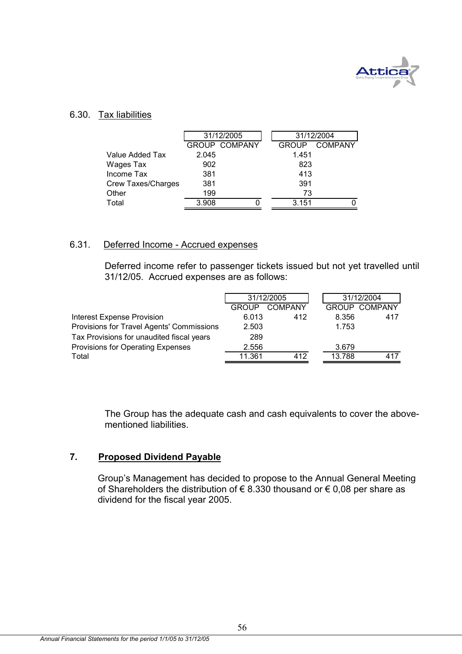

### 6.30. Tax liabilities

| 31/12/2005                |  |                      | 31/12/2004   |         |  |
|---------------------------|--|----------------------|--------------|---------|--|
|                           |  |                      | <b>GROUP</b> | COMPANY |  |
| 2.045                     |  |                      | 1.451        |         |  |
| 902                       |  |                      | 823          |         |  |
| 381                       |  |                      | 413          |         |  |
| 381                       |  |                      | 391          |         |  |
| 199                       |  |                      | 73           |         |  |
| 3.908                     |  |                      | 3.151        |         |  |
| <b>Crew Taxes/Charges</b> |  | <b>GROUP COMPANY</b> |              |         |  |

### 6.31. Deferred Income - Accrued expenses

Deferred income refer to passenger tickets issued but not yet travelled until 31/12/05. Accrued expenses are as follows:

|                                           | 31/12/2005   |                |        | 31/12/2004           |  |
|-------------------------------------------|--------------|----------------|--------|----------------------|--|
|                                           | <b>GROUP</b> | <b>COMPANY</b> |        | <b>GROUP COMPANY</b> |  |
| <b>Interest Expense Provision</b>         | 6.013        | 412            | 8.356  | 417                  |  |
| Provisions for Travel Agents' Commissions | 2.503        |                | 1.753  |                      |  |
| Tax Provisions for unaudited fiscal years | 289          |                |        |                      |  |
| Provisions for Operating Expenses         | 2.556        |                | 3.679  |                      |  |
| Total                                     | 11.361       | 412            | 13.788 | 417                  |  |

The Group has the adequate cash and cash equivalents to cover the abovementioned liabilities.

# **7. Proposed Dividend Payable**

Group's Management has decided to propose to the Annual General Meeting of Shareholders the distribution of € 8.330 thousand or € 0,08 per share as dividend for the fiscal year 2005.